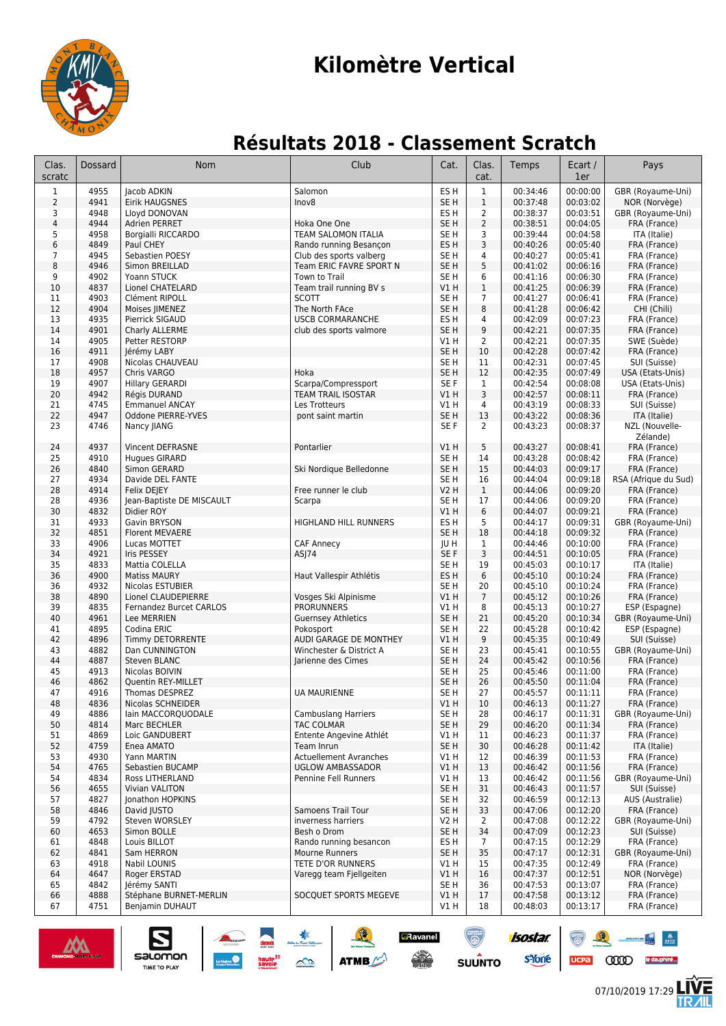

# **Kilomètre Vertical**

### **Résultats 2018 - Classement Scratch**

| Clas.<br>scratc | Dossard      | <b>Nom</b>                                  | Club                                     | Cat.                               | Clas.<br>cat.          | Temps                | Ecart /<br>1er       | Pays                              |
|-----------------|--------------|---------------------------------------------|------------------------------------------|------------------------------------|------------------------|----------------------|----------------------|-----------------------------------|
| $\mathbf{1}$    | 4955         | Jacob ADKIN                                 | Salomon                                  | ES H                               | $\mathbf{1}$           | 00:34:46             | 00:00:00             | GBR (Royaume-Uni)                 |
| $\overline{2}$  | 4941         | Eirik HAUGSNES                              | Inov8                                    | SE H                               | $1\,$                  | 00:37:48             | 00:03:02             | NOR (Norvège)                     |
| 3               | 4948         | Lloyd DONOVAN                               |                                          | ES H                               | $\overline{2}$         | 00:38:37             | 00:03:51             | GBR (Royaume-Uni)                 |
| 4               | 4944         | Adrien PERRET                               | Hoka One One                             | SE <sub>H</sub>                    | $\overline{2}$         | 00:38:51             | 00:04:05             | FRA (France)                      |
| 5               | 4958         | <b>Borgialli RICCARDO</b>                   | TEAM SALOMON ITALIA                      | SE <sub>H</sub>                    | 3                      | 00:39:44             | 00:04:58             | ITA (Italie)                      |
| 6               | 4849         | Paul CHEY                                   | Rando running Besançon                   | ES <sub>H</sub>                    | 3                      | 00:40:26             | 00:05:40             | FRA (France)                      |
| 7               | 4945         | Sebastien POESY                             | Club des sports valberg                  | SE H                               | 4                      | 00:40:27             | 00:05:41             | FRA (France)                      |
| 8<br>9          | 4946<br>4902 | Simon BREILLAD<br>Yoann STUCK               | Team ERIC FAVRE SPORT N<br>Town to Trail | SE <sub>H</sub><br>SE <sub>H</sub> | 5<br>6                 | 00:41:02<br>00:41:16 | 00:06:16<br>00:06:30 | FRA (France)                      |
| 10              | 4837         | Lionel CHATELARD                            | Team trail running BV s                  | V1H                                | $\mathbf{1}$           | 00:41:25             | 00:06:39             | FRA (France)<br>FRA (France)      |
| 11              | 4903         | Clément RIPOLL                              | <b>SCOTT</b>                             | SE <sub>H</sub>                    | $\overline{7}$         | 00:41:27             | 00:06:41             | FRA (France)                      |
| 12              | 4904         | Moises JIMENEZ                              | The North FAce                           | SE <sub>H</sub>                    | 8                      | 00:41:28             | 00:06:42             | CHI (Chili)                       |
| 13              | 4935         | Pierrick SIGAUD                             | <b>USCB CORMARANCHE</b>                  | ES H                               | 4                      | 00:42:09             | 00:07:23             | FRA (France)                      |
| 14              | 4901         | Charly ALLERME                              | club des sports valmore                  | SE <sub>H</sub>                    | 9                      | 00:42:21             | 00:07:35             | FRA (France)                      |
| 14              | 4905         | Petter RESTORP                              |                                          | V1 H                               | 2                      | 00:42:21             | 00:07:35             | SWE (Suède)                       |
| 16              | 4911         | Jérémy LABY                                 |                                          | SE <sub>H</sub>                    | 10                     | 00:42:28             | 00:07:42             | FRA (France)                      |
| 17              | 4908         | Nicolas CHAUVEAU                            |                                          | SE <sub>H</sub>                    | 11                     | 00:42:31             | 00:07:45             | SUI (Suisse)                      |
| 18              | 4957         | Chris VARGO                                 | Hoka                                     | SE <sub>H</sub>                    | 12                     | 00:42:35             | 00:07:49             | USA (Etats-Unis)                  |
| 19              | 4907         | Hillary GERARDI                             | Scarpa/Compressport                      | SE <sub>F</sub>                    | $\mathbf{1}$           | 00:42:54             | 00:08:08             | USA (Etats-Unis)                  |
| 20              | 4942         | Régis DURAND                                | <b>TEAM TRAIL ISOSTAR</b>                | V1H                                | 3                      | 00:42:57             | 00:08:11             | FRA (France)                      |
| 21<br>22        | 4745<br>4947 | <b>Emmanuel ANCAY</b><br>Oddone PIERRE-YVES | Les Trotteurs                            | V1 H<br>SE <sub>H</sub>            | 4<br>13                | 00:43:19<br>00:43:22 | 00:08:33<br>00:08:36 | SUI (Suisse)                      |
| 23              | 4746         | Nancy JIANG                                 | pont saint martin                        | SE F                               | 2                      | 00:43:23             | 00:08:37             | ITA (Italie)<br>NZL (Nouvelle-    |
|                 |              |                                             |                                          |                                    |                        |                      |                      | Zélande)                          |
| 24              | 4937         | <b>Vincent DEFRASNE</b>                     | Pontarlier                               | VIH                                | 5                      | 00:43:27             | 00:08:41             | FRA (France)                      |
| 25              | 4910         | Hugues GIRARD                               |                                          | SE H                               | 14                     | 00:43:28             | 00:08:42             | FRA (France)                      |
| 26              | 4840         | Simon GERARD                                | Ski Nordique Belledonne                  | SE <sub>H</sub>                    | 15                     | 00:44:03             | 00:09:17             | FRA (France)                      |
| 27              | 4934         | Davide DEL FANTE                            |                                          | SE H                               | 16                     | 00:44:04             | 00:09:18             | RSA (Afrique du Sud)              |
| 28              | 4914         | Felix DEJEY                                 | Free runner le club                      | <b>V2 H</b>                        | $\mathbf{1}$           | 00:44:06             | 00:09:20             | FRA (France)                      |
| 28              | 4936         | Jean-Baptiste DE MISCAULT                   | Scarpa                                   | SE H                               | 17                     | 00:44:06             | 00:09:20             | FRA (France)                      |
| 30              | 4832         | Didier ROY                                  |                                          | V1H                                | 6                      | 00:44:07             | 00:09:21             | FRA (France)                      |
| 31              | 4933         | Gavin BRYSON                                | HIGHLAND HILL RUNNERS                    | ES H                               | 5                      | 00:44:17             | 00:09:31             | GBR (Royaume-Uni)                 |
| 32              | 4851         | <b>Florent MEVAERE</b>                      |                                          | SE <sub>H</sub>                    | 18                     | 00:44:18             | 00:09:32             | FRA (France)                      |
| 33              | 4906         | Lucas MOTTET                                | <b>CAF Annecy</b>                        | JU H                               | $\mathbf{1}$           | 00:44:46             | 00:10:00             | FRA (France)                      |
| 34<br>35        | 4921<br>4833 | Iris PESSEY<br>Mattia COLELLA               | ASJ74                                    | SE F<br>SE <sub>H</sub>            | 3<br>19                | 00:44:51<br>00:45:03 | 00:10:05<br>00:10:17 | FRA (France)<br>ITA (Italie)      |
| 36              | 4900         | <b>Matiss MAURY</b>                         | Haut Vallespir Athlétis                  | ES H                               | 6                      | 00:45:10             | 00:10:24             | FRA (France)                      |
| 36              | 4932         | Nicolas ESTUBIER                            |                                          | SE H                               | 20                     | 00:45:10             | 00:10:24             | FRA (France)                      |
| 38              | 4890         | Lionel CLAUDEPIERRE                         | Vosges Ski Alpinisme                     | V1H                                | $\overline{7}$         | 00:45:12             | 00:10:26             | FRA (France)                      |
| 39              | 4835         | Fernandez Burcet CARLOS                     | <b>PRORUNNERS</b>                        | V1 H                               | 8                      | 00:45:13             | 00:10:27             | ESP (Espagne)                     |
| 40              | 4961         | Lee MERRIEN                                 | <b>Guernsey Athletics</b>                | SE <sub>H</sub>                    | 21                     | 00:45:20             | 00:10:34             | GBR (Royaume-Uni)                 |
| 41              | 4895         | Codina ERIC                                 | Pokosport                                | SE <sub>H</sub>                    | 22                     | 00:45:28             | 00:10:42             | ESP (Espagne)                     |
| 42              | 4896         | <b>Timmy DETORRENTE</b>                     | AUDI GARAGE DE MONTHEY                   | V1H                                | 9                      | 00:45:35             | 00:10:49             | SUI (Suisse)                      |
| 43              | 4882         | Dan CUNNINGTON                              | Winchester & District A                  | SE H                               | 23                     | 00:45:41             | 00:10:55             | GBR (Royaume-Uni)                 |
| 44              | 4887         | Steven BLANC                                | Jarienne des Cimes                       | SE <sub>H</sub>                    | 24                     | 00:45:42             | 00:10:56             | FRA (France)                      |
| 45              | 4913         | Nicolas BOIVIN                              |                                          | SE <sub>H</sub>                    | 25                     | 00:45:46             | 00:11:00             | FRA (France)                      |
| 46<br>47        | 4862<br>4916 | Quentin REY-MILLET                          |                                          | SE <sub>H</sub>                    | 26                     | 00:45:50             | 00:11:04             | FRA (France)                      |
| 48              | 4836         | Thomas DESPREZ<br>Nicolas SCHNEIDER         | <b>UA MAURIENNE</b>                      | SE H<br>V1 H                       | 27<br>10 <sup>10</sup> | 00:45:57<br>00:46:13 | 00:11:11<br>00:11:27 | FRA (France)<br>FRA (France)      |
| 49              | 4886         | lain MACCORQUODALE                          | Cambuslang Harriers                      | SE H                               | 28                     | 00:46:17             | 00:11:31             | GBR (Royaume-Uni)                 |
| 50              | 4814         | Marc BECHLER                                | TAC COLMAR                               | SE H                               | 29                     | 00:46:20             | 00:11:34             | FRA (France)                      |
| 51              | 4869         | Loic GANDUBERT                              | Entente Angevine Athlét                  | V1 H                               | 11                     | 00:46:23             | 00:11:37             | FRA (France)                      |
| 52              | 4759         | Enea AMATO                                  | Team Inrun                               | SE H                               | 30                     | 00:46:28             | 00:11:42             | ITA (Italie)                      |
| 53              | 4930         | Yann MARTIN                                 | <b>Actuellement Avranches</b>            | V1H                                | 12                     | 00:46:39             | 00:11:53             | FRA (France)                      |
| 54              | 4765         | Sebastien BUCAMP                            | <b>UGLOW AMBASSADOR</b>                  | VIH                                | 13                     | 00:46:42             | 00:11:56             | FRA (France)                      |
| 54              | 4834         | Ross LITHERLAND                             | Pennine Fell Runners                     | V1H                                | 13                     | 00:46:42             | 00:11:56             | GBR (Royaume-Uni)                 |
| 56              | 4655         | Vivian VALITON                              |                                          | SE H                               | 31                     | 00:46:43             | 00:11:57             | SUI (Suisse)                      |
| 57              | 4827         | Jonathon HOPKINS                            |                                          | SE H                               | 32                     | 00:46:59             | 00:12:13             | AUS (Australie)                   |
| 58              | 4846         | David JUSTO<br>Steven WORSLEY               | Samoens Trail Tour<br>inverness harriers | SE H<br>V2H                        | 33                     | 00:47:06             | 00:12:20             | FRA (France)                      |
| 59<br>60        | 4792<br>4653 | Simon BOLLE                                 | Besh o Drom                              | SE H                               | $\overline{2}$<br>34   | 00:47:08<br>00:47:09 | 00:12:22<br>00:12:23 | GBR (Royaume-Uni)<br>SUI (Suisse) |
| 61              | 4848         | Louis BILLOT                                | Rando running besancon                   | ES H                               | $\overline{7}$         | 00:47:15             | 00:12:29             | FRA (France)                      |
| 62              | 4841         | Sam HERRON                                  | Mourne Runners                           | SE H                               | 35                     | 00:47:17             | 00:12:31             | GBR (Royaume-Uni)                 |
| 63              | 4918         | Nabil LOUNIS                                | TETE D'OR RUNNERS                        | V1 H                               | 15                     | 00:47:35             | 00:12:49             | FRA (France)                      |
| 64              | 4647         | Roger ERSTAD                                | Varegg team Fjellgeiten                  | V1H                                | 16                     | 00:47:37             | 00:12:51             | NOR (Norvège)                     |
| 65              | 4842         | Jérémy SANTI                                |                                          | SE H                               | 36                     | 00:47:53             | 00:13:07             | FRA (France)                      |
| 66              | 4888         | Stéphane BURNET-MERLIN                      | SOCQUET SPORTS MEGEVE                    | V1H                                | 17                     | 00:47:58             | 00:13:12             | FRA (France)                      |
| 67              | 4751         | Benjamin DUHAUT                             |                                          | V1H                                | 18                     | 00:48:03             | 00:13:17             | FRA (France)                      |
|                 |              |                                             |                                          |                                    |                        |                      |                      |                                   |



UCPa (ODD) le dauphiné...

 $\frac{M}{1000}$ 

isostar.

**s**Yone

**SUUNTO**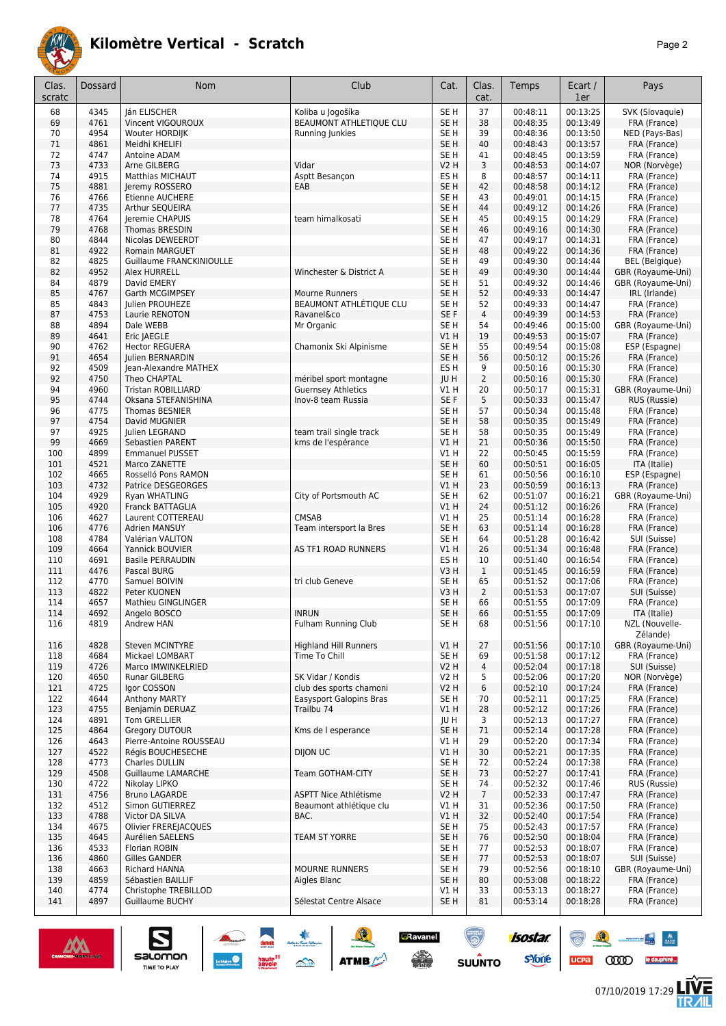

| ×<br>×<br>۰. |
|--------------|
|              |

| Clas.<br>scratc | Dossard      | Nom                                       | Club                                            | Cat.                               | Clas.<br>cat.        | Temps                | Ecart /<br>1er       | Pays                                       |
|-----------------|--------------|-------------------------------------------|-------------------------------------------------|------------------------------------|----------------------|----------------------|----------------------|--------------------------------------------|
| 68              | 4345         | lán ELISCHER                              | Koliba u Jogošíka                               | SE H                               | 37                   | 00:48:11             | 00:13:25             | SVK (Slovaquie)                            |
| 69              | 4761         | Vincent VIGOUROUX                         | BEAUMONT ATHLETIQUE CLU                         | SE H                               | 38                   | 00:48:35             | 00:13:49             | FRA (France)                               |
| 70              | 4954         | Wouter HORDIJK                            | Running Junkies                                 | SE H                               | 39                   | 00:48:36             | 00:13:50             | NED (Pays-Bas)                             |
| 71<br>72        | 4861<br>4747 | Meidhi KHELIFI<br>Antoine ADAM            |                                                 | SE <sub>H</sub><br>SE <sub>H</sub> | 40<br>41             | 00:48:43<br>00:48:45 | 00:13:57<br>00:13:59 | FRA (France)<br>FRA (France)               |
| 73              | 4733         | Arne GILBERG                              | Vidar                                           | V2 H                               | 3                    | 00:48:53             | 00:14:07             | NOR (Norvège)                              |
| 74              | 4915         | Matthias MICHAUT                          | Asptt Besançon                                  | ES H                               | 8                    | 00:48:57             | 00:14:11             | FRA (France)                               |
| 75              | 4881         | Jeremy ROSSERO                            | EAB                                             | SE <sub>H</sub>                    | 42                   | 00:48:58             | 00:14:12             | FRA (France)                               |
| 76              | 4766         | Etienne AUCHERE                           |                                                 | SE <sub>H</sub>                    | 43                   | 00:49:01             | 00:14:15             | FRA (France)                               |
| 77              | 4735         | Arthur SEQUEIRA                           |                                                 | SE <sub>H</sub>                    | 44                   | 00:49:12             | 00:14:26             | FRA (France)                               |
| 78<br>79        | 4764<br>4768 | Jeremie CHAPUIS<br>Thomas BRESDIN         | team himalkosati                                | SE H<br>SE <sub>H</sub>            | 45<br>46             | 00:49:15<br>00:49:16 | 00:14:29<br>00:14:30 | FRA (France)<br>FRA (France)               |
| 80              | 4844         | Nicolas DEWEERDT                          |                                                 | SE H                               | 47                   | 00:49:17             | 00:14:31             | FRA (France)                               |
| 81              | 4922         | <b>Romain MARGUET</b>                     |                                                 | SE H                               | 48                   | 00:49:22             | 00:14:36             | FRA (France)                               |
| 82              | 4825         | Guillaume FRANCKINIOULLE                  |                                                 | SE H                               | 49                   | 00:49:30             | 00:14:44             | <b>BEL</b> (Belgique)                      |
| 82              | 4952         | Alex HURRELL                              | Winchester & District A                         | SE <sub>H</sub>                    | 49                   | 00:49:30             | 00:14:44             | GBR (Royaume-Uni)                          |
| 84              | 4879         | David EMERY                               |                                                 | SE <sub>H</sub>                    | 51                   | 00:49:32             | 00:14:46             | GBR (Royaume-Uni)                          |
| 85              | 4767         | Garth MCGIMPSEY                           | Mourne Runners                                  | SE <sub>H</sub>                    | 52                   | 00:49:33             | 00:14:47             | IRL (Irlande)                              |
| 85<br>87        | 4843<br>4753 | Julien PROUHEZE<br>Laurie RENOTON         | BEAUMONT ATHLÉTIQUE CLU<br>Ravanel&co           | SE H<br>SE <sub>F</sub>            | 52<br>$\overline{4}$ | 00:49:33<br>00:49:39 | 00:14:47<br>00:14:53 | FRA (France)<br>FRA (France)               |
| 88              | 4894         | Dale WEBB                                 | Mr Organic                                      | SE <sub>H</sub>                    | 54                   | 00:49:46             | 00:15:00             | GBR (Royaume-Uni)                          |
| 89              | 4641         | Eric JAEGLE                               |                                                 | VIH                                | 19                   | 00:49:53             | 00:15:07             | FRA (France)                               |
| 90              | 4762         | <b>Hector REGUERA</b>                     | Chamonix Ski Alpinisme                          | SE <sub>H</sub>                    | 55                   | 00:49:54             | 00:15:08             | ESP (Espagne)                              |
| 91              | 4654         | Julien BERNARDIN                          |                                                 | SE <sub>H</sub>                    | 56                   | 00:50:12             | 00:15:26             | FRA (France)                               |
| 92              | 4509         | Iean-Alexandre MATHEX                     |                                                 | ES H                               | 9                    | 00:50:16             | 00:15:30             | FRA (France)                               |
| 92<br>94        | 4750<br>4960 | Theo CHAPTAL<br><b>Tristan ROBILLIARD</b> | méribel sport montagne                          | JU H                               | $\overline{2}$<br>20 | 00:50:16             | 00:15:30             | FRA (France)<br>GBR (Royaume-Uni)          |
| 95              | 4744         | Oksana STEFANISHINA                       | <b>Guernsey Athletics</b><br>Inov-8 team Russia | V1 H<br>SE <sub>F</sub>            | 5                    | 00:50:17<br>00:50:33 | 00:15:31<br>00:15:47 | RUS (Russie)                               |
| 96              | 4775         | <b>Thomas BESNIER</b>                     |                                                 | SE <sub>H</sub>                    | 57                   | 00:50:34             | 00:15:48             | FRA (France)                               |
| 97              | 4754         | David MUGNIER                             |                                                 | SE <sub>H</sub>                    | 58                   | 00:50:35             | 00:15:49             | FRA (France)                               |
| 97              | 4925         | Julien LEGRAND                            | team trail single track                         | SE H                               | 58                   | 00:50:35             | 00:15:49             | FRA (France)                               |
| 99              | 4669         | Sebastien PARENT                          | kms de l'espérance                              | VIH                                | 21                   | 00:50:36             | 00:15:50             | FRA (France)                               |
| 100             | 4899         | <b>Emmanuel PUSSET</b>                    |                                                 | V1H                                | 22                   | 00:50:45             | 00:15:59             | FRA (France)                               |
| 101<br>102      | 4521<br>4665 | Marco ZANETTE<br>Rosselló Pons RAMON      |                                                 | SE <sub>H</sub><br>SE H            | 60<br>61             | 00:50:51<br>00:50:56 | 00:16:05<br>00:16:10 | ITA (Italie)<br>ESP (Espagne)              |
| 103             | 4732         | Patrice DESGEORGES                        |                                                 | V1 H                               | 23                   | 00:50:59             | 00:16:13             | FRA (France)                               |
| 104             | 4929         | Ryan WHATLING                             | City of Portsmouth AC                           | SE H                               | 62                   | 00:51:07             | 00:16:21             | GBR (Royaume-Uni)                          |
| 105             | 4920         | Franck BATTAGLIA                          |                                                 | V1H                                | 24                   | 00:51:12             | 00:16:26             | FRA (France)                               |
| 106             | 4627         | Laurent COTTEREAU                         | CMSAB                                           | V1 H                               | 25                   | 00:51:14             | 00:16:28             | FRA (France)                               |
| 106             | 4776         | <b>Adrien MANSUY</b>                      | Team intersport la Bres                         | SE <sub>H</sub>                    | 63                   | 00:51:14             | 00:16:28             | FRA (France)                               |
| 108<br>109      | 4784<br>4664 | Valérian VALITON<br>Yannick BOUVIER       | AS TF1 ROAD RUNNERS                             | SE <sub>H</sub><br>V1H             | 64<br>26             | 00:51:28<br>00:51:34 | 00:16:42             | SUI (Suisse)                               |
| 110             | 4691         | <b>Basile PERRAUDIN</b>                   |                                                 | ES H                               | 10                   | 00:51:40             | 00:16:48<br>00:16:54 | FRA (France)<br>FRA (France)               |
| 111             | 4476         | Pascal BURG                               |                                                 | V3H                                | $\mathbf{1}$         | 00:51:45             | 00:16:59             | FRA (France)                               |
| 112             | 4770         | Samuel BOIVIN                             | tri club Geneve                                 | SE H                               | 65                   | 00:51:52             | 00:17:06             | FRA (France)                               |
| 113             | 4822         | Peter KUONEN                              |                                                 | V3H                                | $\overline{2}$       | 00:51:53             | 00:17:07             | SUI (Suisse)                               |
| 114             | 4657         | Mathieu GINGLINGER                        |                                                 | SE H                               | 66                   | 00:51:55             | 00:17:09             | FRA (France)                               |
| 114<br>116      | 4692<br>4819 | Angelo BOSCO<br>Andrew HAN                | <b>INRUN</b><br><b>Fulham Running Club</b>      | SE H<br>SE H                       | 66<br>68             | 00:51:55<br>00:51:56 | 00:17:09<br>00:17:10 | ITA (Italie)<br>NZL (Nouvelle-<br>Zélande) |
| 116             | 4828         | Steven MCINTYRE                           | <b>Highland Hill Runners</b>                    | V1 H                               | 27                   | 00:51:56             | 00:17:10             | GBR (Royaume-Uni)                          |
| 118             | 4684         | Mickael LOMBART                           | Time To Chill                                   | SE <sub>H</sub>                    | 69                   | 00:51:58             | 00:17:12             | FRA (France)                               |
| 119             | 4726         | Marco IMWINKELRIED                        |                                                 | V2H                                | $\overline{4}$       | 00:52:04             | 00:17:18             | SUI (Suisse)                               |
| 120             | 4650<br>4725 | Runar GILBERG                             | SK Vidar / Kondis<br>club des sports chamoni    | V2 H                               | 5<br>6               | 00:52:06<br>00:52:10 | 00:17:20<br>00:17:24 | NOR (Norvège)                              |
| 121<br>122      | 4644         | Igor COSSON<br>Anthony MARTY              | <b>Easysport Galopins Bras</b>                  | V2 H<br>SE H                       | 70                   | 00:52:11             | 00:17:25             | FRA (France)<br>FRA (France)               |
| 123             | 4755         | Benjamin DERUAZ                           | Trailbu 74                                      | V1 H                               | 28                   | 00:52:12             | 00:17:26             | FRA (France)                               |
| 124             | 4891         | Tom GRELLIER                              |                                                 | JU H                               | 3                    | 00:52:13             | 00:17:27             | FRA (France)                               |
| 125             | 4864         | Gregory DUTOUR                            | Kms de l esperance                              | SE H                               | 71                   | 00:52:14             | 00:17:28             | FRA (France)                               |
| 126             | 4643         | Pierre-Antoine ROUSSEAU                   |                                                 | V1H                                | 29                   | 00:52:20             | 00:17:34             | FRA (France)                               |
| 127             | 4522         | Régis BOUCHESECHE                         | DIJON UC                                        | V1 H                               | 30                   | 00:52:21             | 00:17:35             | FRA (France)                               |
| 128<br>129      | 4773<br>4508 | Charles DULLIN<br>Guillaume LAMARCHE      | Team GOTHAM-CITY                                | SE H<br>SE H                       | 72<br>73             | 00:52:24<br>00:52:27 | 00:17:38<br>00:17:41 | FRA (France)<br>FRA (France)               |
| 130             | 4722         | Nikolay LIPKO                             |                                                 | SE H                               | 74                   | 00:52:32             | 00:17:46             | RUS (Russie)                               |
| 131             | 4756         | <b>Bruno LAGARDE</b>                      | <b>ASPTT Nice Athlétisme</b>                    | V <sub>2</sub> H                   | $\overline{7}$       | 00:52:33             | 00:17:47             | FRA (France)                               |
| 132             | 4512         | Simon GUTIERREZ                           | Beaumont athlétique clu                         | V1 H                               | 31                   | 00:52:36             | 00:17:50             | FRA (France)                               |
| 133             | 4788         | Victor DA SILVA                           | BAC.                                            | V1 H                               | 32                   | 00:52:40             | 00:17:54             | FRA (France)                               |
| 134             | 4675         | Olivier FREREJACQUES                      |                                                 | SE H                               | 75                   | 00:52:43             | 00:17:57             | FRA (France)                               |
| 135<br>136      | 4645<br>4533 | Aurélien SAELENS<br>Florian ROBIN         | TEAM ST YORRE                                   | SE <sub>H</sub><br>SE H            | 76<br>77             | 00:52:50<br>00:52:53 | 00:18:04<br>00:18:07 | FRA (France)<br>FRA (France)               |
| 136             | 4860         | Gilles GANDER                             |                                                 | SE <sub>H</sub>                    | 77                   | 00:52:53             | 00:18:07             | SUI (Suisse)                               |
| 138             | 4663         | Richard HANNA                             | MOURNE RUNNERS                                  | SE H                               | 79                   | 00:52:56             | 00:18:10             | GBR (Royaume-Uni)                          |
| 139             | 4859         | Sébastien BAILLIF                         | Aigles Blanc                                    | SE H                               | 80                   | 00:53:08             | 00:18:22             | FRA (France)                               |
| 140             | 4774         | Christophe TREBILLOD                      |                                                 | V1 H                               | 33                   | 00:53:13             | 00:18:27             | FRA (France)                               |
| 141             | 4897         | Guillaume BUCHY                           | Sélestat Centre Alsace                          | SE H                               | 81                   | 00:53:14             | 00:18:28             | FRA (France)                               |



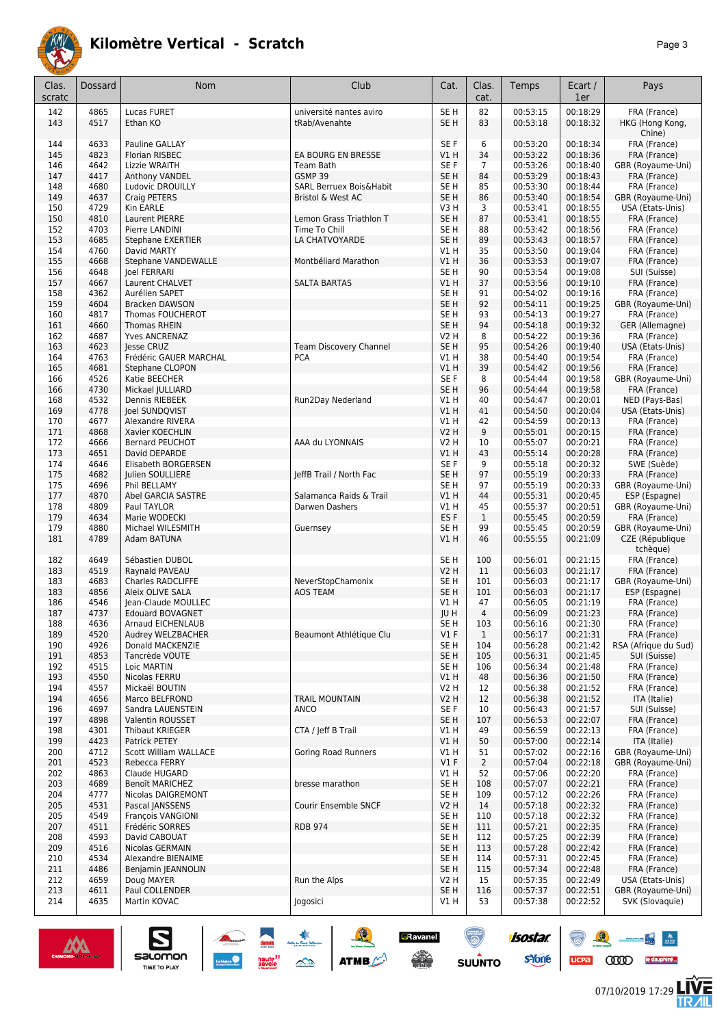

|--|--|

| 4865<br>Lucas FURET<br>SE <sub>H</sub><br>82<br>00:53:15<br>00:18:29<br>FRA (France)<br>142<br>université nantes aviro<br>00:18:32<br>143<br>4517<br>Ethan KO<br>SE <sub>H</sub><br>83<br>00:53:18<br>HKG (Hong Kong,<br>tRab/Avenahte<br>Chine)<br>6<br>FRA (France)<br>4633<br>Pauline GALLAY<br>SE <sub>F</sub><br>00:53:20<br>00:18:34<br>144<br>4823<br>00:53:22<br>00:18:36<br>Florian RISBEC<br>EA BOURG EN BRESSE<br>V1 H<br>34<br>FRA (France)<br>145<br>4642<br>Lizzie WRAITH<br>SE <sub>F</sub><br>$\overline{7}$<br>00:53:26<br>00:18:40<br>GBR (Royaume-Uni)<br>146<br>Team Bath<br>84<br>147<br>4417<br>GSMP 39<br>SE <sub>H</sub><br>00:53:29<br>00:18:43<br>FRA (France)<br>Anthony VANDEL<br>4680<br>Ludovic DROUILLY<br>SARL Berruex Bois&Habit<br>SE <sub>H</sub><br>85<br>00:53:30<br>00:18:44<br>FRA (France)<br>148<br>4637<br>SE <sub>H</sub><br>86<br>00:53:40<br>00:18:54<br>149<br>Craig PETERS<br>Bristol & West AC<br>GBR (Royaume-Uni)<br>4729<br>V3H<br>3<br>00:53:41<br>00:18:55<br>USA (Etats-Unis)<br>150<br>Kin EARLE<br>4810<br>SE <sub>H</sub><br>87<br>00:53:41<br>00:18:55<br>Laurent PIERRE<br>Lemon Grass Triathlon T<br>FRA (France)<br>150<br>4703<br>SE <sub>H</sub><br>88<br>152<br>Pierre LANDINI<br>Time To Chill<br>00:53:42<br>00:18:56<br>FRA (France)<br>153<br>4685<br>LA CHATVOYARDE<br>SE <sub>H</sub><br>89<br>00:53:43<br>00:18:57<br>FRA (France)<br><b>Stephane EXERTIER</b><br>154<br>4760<br>V1H<br>35<br>00:53:50<br>00:19:04<br>FRA (France)<br>David MARTY<br>00:53:53<br>00:19:07<br>4668<br>V1H<br>36<br>FRA (France)<br>155<br>Stephane VANDEWALLE<br>Montbéliard Marathon<br>4648<br>156<br>SE <sub>H</sub><br>90<br>00:53:54<br>00:19:08<br>SUI (Suisse)<br><b>Joel FERRARI</b><br>00:53:56<br>00:19:10<br>4667<br><b>SALTA BARTAS</b><br>V1H<br>37<br>FRA (France)<br>157<br>Laurent CHALVET<br>158<br>4362<br>Aurélien SAPET<br>SE <sub>H</sub><br>91<br>00:54:02<br>00:19:16<br>FRA (France)<br>92<br>159<br>4604<br>SE <sub>H</sub><br>00:54:11<br>00:19:25<br><b>Bracken DAWSON</b><br>GBR (Royaume-Uni)<br>4817<br>Thomas FOUCHEROT<br>SE <sub>H</sub><br>93<br>00:54:13<br>00:19:27<br>FRA (France)<br>160<br>SE <sub>H</sub><br>94<br>00:19:32<br>161<br>4660<br>Thomas RHEIN<br>00:54:18<br>GER (Allemagne)<br>4687<br>8<br>00:54:22<br>00:19:36<br>162<br>Yves ANCRENAZ<br><b>V2 H</b><br>FRA (France)<br>95<br>4623<br><b>Team Discovery Channel</b><br>SE <sub>H</sub><br>163<br>lesse CRUZ<br>00:54:26<br>00:19:40<br>USA (Etats-Unis)<br>4763<br>Frédéric GAUER MARCHAL<br><b>PCA</b><br>V1H<br>38<br>00:54:40<br>00:19:54<br>FRA (France)<br>164<br>39<br>165<br>4681<br>V1 H<br>00:54:42<br>00:19:56<br>FRA (France)<br>Stephane CLOPON<br>4526<br>SE <sub>F</sub><br>8<br>00:54:44<br>00:19:58<br>166<br>Katie BEECHER<br>GBR (Royaume-Uni)<br>4730<br>SE <sub>H</sub><br>96<br>00:54:44<br>00:19:58<br>FRA (France)<br>166<br>Mickael JULLIARD<br>00:54:47<br>00:20:01<br>4532<br>Dennis RIEBEEK<br>Run2Day Nederland<br>V1H<br>40<br>NED (Pays-Bas)<br>168<br>4778<br>00:20:04<br>V1H<br>41<br>00:54:50<br>USA (Etats-Unis)<br>169<br>Joel SUNDQVIST<br>4677<br>V1H<br>42<br>00:54:59<br>00:20:13<br>FRA (France)<br>170<br>Alexandre RIVERA<br>4868<br><b>V2 H</b><br>9<br>00:55:01<br>00:20:15<br>FRA (France)<br>171<br>Xavier KOECHLIN<br>4666<br>AAA du LYONNAIS<br>10<br>00:55:07<br>00:20:21<br>172<br><b>Bernard PEUCHOT</b><br><b>V2 H</b><br>FRA (France)<br>4651<br>V1H<br>43<br>00:55:14<br>00:20:28<br>173<br>David DEPARDE<br>FRA (France)<br>4646<br>9<br>00:20:32<br>174<br>Elisabeth BORGERSEN<br>SE F<br>00:55:18<br>SWE (Suède)<br>4682<br>JeffB Trail / North Fac<br>SE <sub>H</sub><br>97<br>00:20:33<br>175<br>Julien SOULLIERE<br>00:55:19<br>FRA (France)<br>97<br>4696<br>SE <sub>H</sub><br>175<br>Phil BELLAMY<br>00:55:19<br>00:20:33<br>GBR (Royaume-Uni)<br>4870<br>Salamanca Raids & Trail<br>V1H<br>44<br>00:55:31<br>00:20:45<br>177<br>Abel GARCIA SASTRE<br>ESP (Espagne)<br>4809<br>178<br>45<br>00:55:37<br>00:20:51<br>GBR (Royaume-Uni)<br>Paul TAYLOR<br>Darwen Dashers<br>VIH<br>ES <sub>F</sub><br>00:55:45<br>00:20:59<br>179<br>4634<br>Marie WODECKI<br>$\mathbf{1}$<br>FRA (France)<br>179<br>4880<br>00:20:59<br>SE <sub>H</sub><br>99<br>00:55:45<br>GBR (Royaume-Uni)<br>Michael WILESMITH<br>Guernsey<br>4789<br>V1H<br>46<br>00:55:55<br>00:21:09<br>181<br>Adam BATUNA<br>CZE (République<br>tchèque)<br>4649<br>SE <sub>H</sub><br>100<br>00:21:15<br>FRA (France)<br>Sébastien DUBOL<br>00:56:01<br>182<br>4519<br><b>V2 H</b><br>00:21:17<br>183<br>Raynald PAVEAU<br>11<br>00:56:03<br>FRA (France)<br>4683<br>Charles RADCLIFFE<br>NeverStopChamonix<br>SE <sub>H</sub><br>101<br>00:21:17<br>GBR (Royaume-Uni)<br>183<br>00:56:03<br>4856<br>SE <sub>H</sub><br>00:21:17<br>183<br>Aleix OLIVE SALA<br><b>AOS TEAM</b><br>101<br>00:56:03<br>ESP (Espagne)<br>4546<br>V1H<br>186<br>Jean-Claude MOULLEC<br>47<br>00:21:19<br>FRA (France)<br>00:56:05<br>4737<br>$\overline{4}$<br>187<br><b>Edouard BOVAGNET</b><br>JU H<br>00:56:09<br>00:21:23<br>FRA (France)<br>188<br>4636<br>Arnaud EICHENLAUB<br>SE H<br>103<br>00:56:16<br>00:21:30<br>FRA (France)<br>V1F<br>189<br>4520<br>Audrey WELZBACHER<br>Beaumont Athlétique Clu<br>$\mathbf{1}$<br>00:56:17<br>00:21:31<br>FRA (France)<br>190<br>4926<br>Donald MACKENZIE<br>SE <sub>H</sub><br>104<br>00:56:28<br>RSA (Afrique du Sud)<br>00:21:42<br>4853<br>SE <sub>H</sub><br>00:56:31<br>00:21:45<br>SUI (Suisse)<br>191<br>Tancrède VOUTE<br>105<br>4515<br>SE <sub>H</sub><br>00:21:48<br>FRA (France)<br>192<br>Loic MARTIN<br>106<br>00:56:34<br>4550<br>V1H<br>00:56:36<br>00:21:50<br>193<br>Nicolas FERRU<br>48<br>FRA (France)<br>4557<br>V <sub>2</sub> H<br>00:56:38<br>00:21:52<br>194<br>Mickaël BOUTIN<br>FRA (France)<br>12<br><b>TRAIL MOUNTAIN</b><br>00:21:52<br>194<br>4656<br>Marco BELFROND<br><b>V2 H</b><br>12<br>00:56:38<br>ITA (Italie)<br>4697<br>SE <sub>F</sub><br>00:21:57<br>196<br>Sandra LAUENSTEIN<br><b>ANCO</b><br>10<br>00:56:43<br>SUI (Suisse)<br>197<br>4898<br>Valentin ROUSSET<br>SE <sub>H</sub><br>107<br>00:56:53<br>00:22:07<br>FRA (France)<br>4301<br>Thibaut KRIEGER<br>CTA / Jeff B Trail<br>V1H<br>00:56:59<br>00:22:13<br>FRA (France)<br>198<br>49<br>199<br>4423<br>Patrick PETEY<br>V1H<br>50<br>00:57:00<br>00:22:14<br>ITA (Italie)<br>4712<br>Goring Road Runners<br>200<br><b>Scott William WALLACE</b><br>V1 H<br>51<br>00:57:02<br>00:22:16<br>GBR (Royaume-Uni)<br>4523<br>V1F<br>$\overline{2}$<br>GBR (Royaume-Uni)<br>201<br>Rebecca FERRY<br>00:57:04<br>00:22:18<br>4863<br>00:57:06<br>00:22:20<br>FRA (France)<br>202<br>Claude HUGARD<br>V1 H<br>52<br>4689<br>SE <sub>H</sub><br>00:22:21<br>FRA (France)<br>203<br>Benoît MARICHEZ<br>bresse marathon<br>108<br>00:57:07<br>4777<br>SE <sub>H</sub><br>00:57:12<br>00:22:26<br>FRA (France)<br>204<br>Nicolas DAIGREMONT<br>109<br>V <sub>2</sub> H<br>00:57:18<br>00:22:32<br>FRA (France)<br>205<br>4531<br>Pascal JANSSENS<br>Courir Ensemble SNCF<br>14<br>SE <sub>H</sub><br>110<br>00:57:18<br>00:22:32<br>205<br>4549<br>François VANGIONI<br>FRA (France)<br>4511<br><b>RDB 974</b><br>SE <sub>H</sub><br>00:22:35<br>207<br>Frédéric SORRES<br>111<br>00:57:21<br>FRA (France)<br>4593<br>SE <sub>H</sub><br>00:22:39<br>208<br>David CABOUAT<br>112<br>00:57:25<br>FRA (France)<br>209<br>4516<br>Nicolas GERMAIN<br>SE <sub>H</sub><br>113<br>00:57:28<br>00:22:42<br>FRA (France)<br>210<br>4534<br>Alexandre BIENAIME<br>SE H<br>114<br>00:57:31<br>00:22:45<br>FRA (France)<br>4486<br>SE <sub>H</sub><br>00:57:34<br>00:22:48<br>FRA (France)<br>211<br>Benjamin JEANNOLIN<br>115<br>Run the Alps<br>212<br>4659<br>V2 H<br>00:57:35<br>USA (Etats-Unis)<br>Doug MAYER<br>15<br>00:22:49<br>213<br>4611<br>Paul COLLENDER<br>SE <sub>H</sub><br>116<br>00:57:37<br>00:22:51<br>GBR (Royaume-Uni)<br>214<br>4635<br>Martin KOVAC<br>Jogosici<br>V1 H<br>53<br>00:57:38<br>00:22:52<br>SVK (Slovaquie) | Clas.<br>scratc | Dossard | Nom | Club | Cat. | Clas.<br>cat. | Temps | Ecart /<br>1er | Pays |
|-----------------------------------------------------------------------------------------------------------------------------------------------------------------------------------------------------------------------------------------------------------------------------------------------------------------------------------------------------------------------------------------------------------------------------------------------------------------------------------------------------------------------------------------------------------------------------------------------------------------------------------------------------------------------------------------------------------------------------------------------------------------------------------------------------------------------------------------------------------------------------------------------------------------------------------------------------------------------------------------------------------------------------------------------------------------------------------------------------------------------------------------------------------------------------------------------------------------------------------------------------------------------------------------------------------------------------------------------------------------------------------------------------------------------------------------------------------------------------------------------------------------------------------------------------------------------------------------------------------------------------------------------------------------------------------------------------------------------------------------------------------------------------------------------------------------------------------------------------------------------------------------------------------------------------------------------------------------------------------------------------------------------------------------------------------------------------------------------------------------------------------------------------------------------------------------------------------------------------------------------------------------------------------------------------------------------------------------------------------------------------------------------------------------------------------------------------------------------------------------------------------------------------------------------------------------------------------------------------------------------------------------------------------------------------------------------------------------------------------------------------------------------------------------------------------------------------------------------------------------------------------------------------------------------------------------------------------------------------------------------------------------------------------------------------------------------------------------------------------------------------------------------------------------------------------------------------------------------------------------------------------------------------------------------------------------------------------------------------------------------------------------------------------------------------------------------------------------------------------------------------------------------------------------------------------------------------------------------------------------------------------------------------------------------------------------------------------------------------------------------------------------------------------------------------------------------------------------------------------------------------------------------------------------------------------------------------------------------------------------------------------------------------------------------------------------------------------------------------------------------------------------------------------------------------------------------------------------------------------------------------------------------------------------------------------------------------------------------------------------------------------------------------------------------------------------------------------------------------------------------------------------------------------------------------------------------------------------------------------------------------------------------------------------------------------------------------------------------------------------------------------------------------------------------------------------------------------------------------------------------------------------------------------------------------------------------------------------------------------------------------------------------------------------------------------------------------------------------------------------------------------------------------------------------------------------------------------------------------------------------------------------------------------------------------------------------------------------------------------------------------------------------------------------------------------------------------------------------------------------------------------------------------------------------------------------------------------------------------------------------------------------------------------------------------------------------------------------------------------------------------------------------------------------------------------------------------------------------------------------------------------------------------------------------------------------------------------------------------------------------------------------------------------------------------------------------------------------------------------------------------------------------------------------------------------------------------------------------------------------------------------------------------------------------------------------------------------------------------------------------------------------------------------------------------------------------------------------------------------------------------------------------------------------------------------------------------------------------------------------------------------------------------------------------------------------------------------------------------------------------------------------------------------------------------------------------------------------------------------------------------------------------------------------------------------------------------------------------------------------------------------------------------------------------------------------------------------------------------------------------------------------------------------------------------------------------------------------------------------------------------------------------------------------------------------------------------------------------------------------------------------------------------------------------------------------------------------------------------------------------------------------------------------------------------------------------------------------------------------------------------------------------------------------------------------------------------------------------------------------------------------------------------------------------------------------------------------------------------------------------------------------------------------------------------------------------------------------------------------------------------------------------------------------------------|-----------------|---------|-----|------|------|---------------|-------|----------------|------|
|                                                                                                                                                                                                                                                                                                                                                                                                                                                                                                                                                                                                                                                                                                                                                                                                                                                                                                                                                                                                                                                                                                                                                                                                                                                                                                                                                                                                                                                                                                                                                                                                                                                                                                                                                                                                                                                                                                                                                                                                                                                                                                                                                                                                                                                                                                                                                                                                                                                                                                                                                                                                                                                                                                                                                                                                                                                                                                                                                                                                                                                                                                                                                                                                                                                                                                                                                                                                                                                                                                                                                                                                                                                                                                                                                                                                                                                                                                                                                                                                                                                                                                                                                                                                                                                                                                                                                                                                                                                                                                                                                                                                                                                                                                                                                                                                                                                                                                                                                                                                                                                                                                                                                                                                                                                                                                                                                                                                                                                                                                                                                                                                                                                                                                                                                                                                                                                                                                                                                                                                                                                                                                                                                                                                                                                                                                                                                                                                                                                                                                                                                                                                                                                                                                                                                                                                                                                                                                                                                                                                                                                                                                                                                                                                                                                                                                                                                                                                                                                                                                                                                                                                                                                                                                                                                                                                                                                                                                                                                                                                                                                     |                 |         |     |      |      |               |       |                |      |
|                                                                                                                                                                                                                                                                                                                                                                                                                                                                                                                                                                                                                                                                                                                                                                                                                                                                                                                                                                                                                                                                                                                                                                                                                                                                                                                                                                                                                                                                                                                                                                                                                                                                                                                                                                                                                                                                                                                                                                                                                                                                                                                                                                                                                                                                                                                                                                                                                                                                                                                                                                                                                                                                                                                                                                                                                                                                                                                                                                                                                                                                                                                                                                                                                                                                                                                                                                                                                                                                                                                                                                                                                                                                                                                                                                                                                                                                                                                                                                                                                                                                                                                                                                                                                                                                                                                                                                                                                                                                                                                                                                                                                                                                                                                                                                                                                                                                                                                                                                                                                                                                                                                                                                                                                                                                                                                                                                                                                                                                                                                                                                                                                                                                                                                                                                                                                                                                                                                                                                                                                                                                                                                                                                                                                                                                                                                                                                                                                                                                                                                                                                                                                                                                                                                                                                                                                                                                                                                                                                                                                                                                                                                                                                                                                                                                                                                                                                                                                                                                                                                                                                                                                                                                                                                                                                                                                                                                                                                                                                                                                                                     |                 |         |     |      |      |               |       |                |      |
|                                                                                                                                                                                                                                                                                                                                                                                                                                                                                                                                                                                                                                                                                                                                                                                                                                                                                                                                                                                                                                                                                                                                                                                                                                                                                                                                                                                                                                                                                                                                                                                                                                                                                                                                                                                                                                                                                                                                                                                                                                                                                                                                                                                                                                                                                                                                                                                                                                                                                                                                                                                                                                                                                                                                                                                                                                                                                                                                                                                                                                                                                                                                                                                                                                                                                                                                                                                                                                                                                                                                                                                                                                                                                                                                                                                                                                                                                                                                                                                                                                                                                                                                                                                                                                                                                                                                                                                                                                                                                                                                                                                                                                                                                                                                                                                                                                                                                                                                                                                                                                                                                                                                                                                                                                                                                                                                                                                                                                                                                                                                                                                                                                                                                                                                                                                                                                                                                                                                                                                                                                                                                                                                                                                                                                                                                                                                                                                                                                                                                                                                                                                                                                                                                                                                                                                                                                                                                                                                                                                                                                                                                                                                                                                                                                                                                                                                                                                                                                                                                                                                                                                                                                                                                                                                                                                                                                                                                                                                                                                                                                                     |                 |         |     |      |      |               |       |                |      |
|                                                                                                                                                                                                                                                                                                                                                                                                                                                                                                                                                                                                                                                                                                                                                                                                                                                                                                                                                                                                                                                                                                                                                                                                                                                                                                                                                                                                                                                                                                                                                                                                                                                                                                                                                                                                                                                                                                                                                                                                                                                                                                                                                                                                                                                                                                                                                                                                                                                                                                                                                                                                                                                                                                                                                                                                                                                                                                                                                                                                                                                                                                                                                                                                                                                                                                                                                                                                                                                                                                                                                                                                                                                                                                                                                                                                                                                                                                                                                                                                                                                                                                                                                                                                                                                                                                                                                                                                                                                                                                                                                                                                                                                                                                                                                                                                                                                                                                                                                                                                                                                                                                                                                                                                                                                                                                                                                                                                                                                                                                                                                                                                                                                                                                                                                                                                                                                                                                                                                                                                                                                                                                                                                                                                                                                                                                                                                                                                                                                                                                                                                                                                                                                                                                                                                                                                                                                                                                                                                                                                                                                                                                                                                                                                                                                                                                                                                                                                                                                                                                                                                                                                                                                                                                                                                                                                                                                                                                                                                                                                                                                     |                 |         |     |      |      |               |       |                |      |
|                                                                                                                                                                                                                                                                                                                                                                                                                                                                                                                                                                                                                                                                                                                                                                                                                                                                                                                                                                                                                                                                                                                                                                                                                                                                                                                                                                                                                                                                                                                                                                                                                                                                                                                                                                                                                                                                                                                                                                                                                                                                                                                                                                                                                                                                                                                                                                                                                                                                                                                                                                                                                                                                                                                                                                                                                                                                                                                                                                                                                                                                                                                                                                                                                                                                                                                                                                                                                                                                                                                                                                                                                                                                                                                                                                                                                                                                                                                                                                                                                                                                                                                                                                                                                                                                                                                                                                                                                                                                                                                                                                                                                                                                                                                                                                                                                                                                                                                                                                                                                                                                                                                                                                                                                                                                                                                                                                                                                                                                                                                                                                                                                                                                                                                                                                                                                                                                                                                                                                                                                                                                                                                                                                                                                                                                                                                                                                                                                                                                                                                                                                                                                                                                                                                                                                                                                                                                                                                                                                                                                                                                                                                                                                                                                                                                                                                                                                                                                                                                                                                                                                                                                                                                                                                                                                                                                                                                                                                                                                                                                                                     |                 |         |     |      |      |               |       |                |      |
|                                                                                                                                                                                                                                                                                                                                                                                                                                                                                                                                                                                                                                                                                                                                                                                                                                                                                                                                                                                                                                                                                                                                                                                                                                                                                                                                                                                                                                                                                                                                                                                                                                                                                                                                                                                                                                                                                                                                                                                                                                                                                                                                                                                                                                                                                                                                                                                                                                                                                                                                                                                                                                                                                                                                                                                                                                                                                                                                                                                                                                                                                                                                                                                                                                                                                                                                                                                                                                                                                                                                                                                                                                                                                                                                                                                                                                                                                                                                                                                                                                                                                                                                                                                                                                                                                                                                                                                                                                                                                                                                                                                                                                                                                                                                                                                                                                                                                                                                                                                                                                                                                                                                                                                                                                                                                                                                                                                                                                                                                                                                                                                                                                                                                                                                                                                                                                                                                                                                                                                                                                                                                                                                                                                                                                                                                                                                                                                                                                                                                                                                                                                                                                                                                                                                                                                                                                                                                                                                                                                                                                                                                                                                                                                                                                                                                                                                                                                                                                                                                                                                                                                                                                                                                                                                                                                                                                                                                                                                                                                                                                                     |                 |         |     |      |      |               |       |                |      |
|                                                                                                                                                                                                                                                                                                                                                                                                                                                                                                                                                                                                                                                                                                                                                                                                                                                                                                                                                                                                                                                                                                                                                                                                                                                                                                                                                                                                                                                                                                                                                                                                                                                                                                                                                                                                                                                                                                                                                                                                                                                                                                                                                                                                                                                                                                                                                                                                                                                                                                                                                                                                                                                                                                                                                                                                                                                                                                                                                                                                                                                                                                                                                                                                                                                                                                                                                                                                                                                                                                                                                                                                                                                                                                                                                                                                                                                                                                                                                                                                                                                                                                                                                                                                                                                                                                                                                                                                                                                                                                                                                                                                                                                                                                                                                                                                                                                                                                                                                                                                                                                                                                                                                                                                                                                                                                                                                                                                                                                                                                                                                                                                                                                                                                                                                                                                                                                                                                                                                                                                                                                                                                                                                                                                                                                                                                                                                                                                                                                                                                                                                                                                                                                                                                                                                                                                                                                                                                                                                                                                                                                                                                                                                                                                                                                                                                                                                                                                                                                                                                                                                                                                                                                                                                                                                                                                                                                                                                                                                                                                                                                     |                 |         |     |      |      |               |       |                |      |
|                                                                                                                                                                                                                                                                                                                                                                                                                                                                                                                                                                                                                                                                                                                                                                                                                                                                                                                                                                                                                                                                                                                                                                                                                                                                                                                                                                                                                                                                                                                                                                                                                                                                                                                                                                                                                                                                                                                                                                                                                                                                                                                                                                                                                                                                                                                                                                                                                                                                                                                                                                                                                                                                                                                                                                                                                                                                                                                                                                                                                                                                                                                                                                                                                                                                                                                                                                                                                                                                                                                                                                                                                                                                                                                                                                                                                                                                                                                                                                                                                                                                                                                                                                                                                                                                                                                                                                                                                                                                                                                                                                                                                                                                                                                                                                                                                                                                                                                                                                                                                                                                                                                                                                                                                                                                                                                                                                                                                                                                                                                                                                                                                                                                                                                                                                                                                                                                                                                                                                                                                                                                                                                                                                                                                                                                                                                                                                                                                                                                                                                                                                                                                                                                                                                                                                                                                                                                                                                                                                                                                                                                                                                                                                                                                                                                                                                                                                                                                                                                                                                                                                                                                                                                                                                                                                                                                                                                                                                                                                                                                                                     |                 |         |     |      |      |               |       |                |      |
|                                                                                                                                                                                                                                                                                                                                                                                                                                                                                                                                                                                                                                                                                                                                                                                                                                                                                                                                                                                                                                                                                                                                                                                                                                                                                                                                                                                                                                                                                                                                                                                                                                                                                                                                                                                                                                                                                                                                                                                                                                                                                                                                                                                                                                                                                                                                                                                                                                                                                                                                                                                                                                                                                                                                                                                                                                                                                                                                                                                                                                                                                                                                                                                                                                                                                                                                                                                                                                                                                                                                                                                                                                                                                                                                                                                                                                                                                                                                                                                                                                                                                                                                                                                                                                                                                                                                                                                                                                                                                                                                                                                                                                                                                                                                                                                                                                                                                                                                                                                                                                                                                                                                                                                                                                                                                                                                                                                                                                                                                                                                                                                                                                                                                                                                                                                                                                                                                                                                                                                                                                                                                                                                                                                                                                                                                                                                                                                                                                                                                                                                                                                                                                                                                                                                                                                                                                                                                                                                                                                                                                                                                                                                                                                                                                                                                                                                                                                                                                                                                                                                                                                                                                                                                                                                                                                                                                                                                                                                                                                                                                                     |                 |         |     |      |      |               |       |                |      |
|                                                                                                                                                                                                                                                                                                                                                                                                                                                                                                                                                                                                                                                                                                                                                                                                                                                                                                                                                                                                                                                                                                                                                                                                                                                                                                                                                                                                                                                                                                                                                                                                                                                                                                                                                                                                                                                                                                                                                                                                                                                                                                                                                                                                                                                                                                                                                                                                                                                                                                                                                                                                                                                                                                                                                                                                                                                                                                                                                                                                                                                                                                                                                                                                                                                                                                                                                                                                                                                                                                                                                                                                                                                                                                                                                                                                                                                                                                                                                                                                                                                                                                                                                                                                                                                                                                                                                                                                                                                                                                                                                                                                                                                                                                                                                                                                                                                                                                                                                                                                                                                                                                                                                                                                                                                                                                                                                                                                                                                                                                                                                                                                                                                                                                                                                                                                                                                                                                                                                                                                                                                                                                                                                                                                                                                                                                                                                                                                                                                                                                                                                                                                                                                                                                                                                                                                                                                                                                                                                                                                                                                                                                                                                                                                                                                                                                                                                                                                                                                                                                                                                                                                                                                                                                                                                                                                                                                                                                                                                                                                                                                     |                 |         |     |      |      |               |       |                |      |
|                                                                                                                                                                                                                                                                                                                                                                                                                                                                                                                                                                                                                                                                                                                                                                                                                                                                                                                                                                                                                                                                                                                                                                                                                                                                                                                                                                                                                                                                                                                                                                                                                                                                                                                                                                                                                                                                                                                                                                                                                                                                                                                                                                                                                                                                                                                                                                                                                                                                                                                                                                                                                                                                                                                                                                                                                                                                                                                                                                                                                                                                                                                                                                                                                                                                                                                                                                                                                                                                                                                                                                                                                                                                                                                                                                                                                                                                                                                                                                                                                                                                                                                                                                                                                                                                                                                                                                                                                                                                                                                                                                                                                                                                                                                                                                                                                                                                                                                                                                                                                                                                                                                                                                                                                                                                                                                                                                                                                                                                                                                                                                                                                                                                                                                                                                                                                                                                                                                                                                                                                                                                                                                                                                                                                                                                                                                                                                                                                                                                                                                                                                                                                                                                                                                                                                                                                                                                                                                                                                                                                                                                                                                                                                                                                                                                                                                                                                                                                                                                                                                                                                                                                                                                                                                                                                                                                                                                                                                                                                                                                                                     |                 |         |     |      |      |               |       |                |      |
|                                                                                                                                                                                                                                                                                                                                                                                                                                                                                                                                                                                                                                                                                                                                                                                                                                                                                                                                                                                                                                                                                                                                                                                                                                                                                                                                                                                                                                                                                                                                                                                                                                                                                                                                                                                                                                                                                                                                                                                                                                                                                                                                                                                                                                                                                                                                                                                                                                                                                                                                                                                                                                                                                                                                                                                                                                                                                                                                                                                                                                                                                                                                                                                                                                                                                                                                                                                                                                                                                                                                                                                                                                                                                                                                                                                                                                                                                                                                                                                                                                                                                                                                                                                                                                                                                                                                                                                                                                                                                                                                                                                                                                                                                                                                                                                                                                                                                                                                                                                                                                                                                                                                                                                                                                                                                                                                                                                                                                                                                                                                                                                                                                                                                                                                                                                                                                                                                                                                                                                                                                                                                                                                                                                                                                                                                                                                                                                                                                                                                                                                                                                                                                                                                                                                                                                                                                                                                                                                                                                                                                                                                                                                                                                                                                                                                                                                                                                                                                                                                                                                                                                                                                                                                                                                                                                                                                                                                                                                                                                                                                                     |                 |         |     |      |      |               |       |                |      |
|                                                                                                                                                                                                                                                                                                                                                                                                                                                                                                                                                                                                                                                                                                                                                                                                                                                                                                                                                                                                                                                                                                                                                                                                                                                                                                                                                                                                                                                                                                                                                                                                                                                                                                                                                                                                                                                                                                                                                                                                                                                                                                                                                                                                                                                                                                                                                                                                                                                                                                                                                                                                                                                                                                                                                                                                                                                                                                                                                                                                                                                                                                                                                                                                                                                                                                                                                                                                                                                                                                                                                                                                                                                                                                                                                                                                                                                                                                                                                                                                                                                                                                                                                                                                                                                                                                                                                                                                                                                                                                                                                                                                                                                                                                                                                                                                                                                                                                                                                                                                                                                                                                                                                                                                                                                                                                                                                                                                                                                                                                                                                                                                                                                                                                                                                                                                                                                                                                                                                                                                                                                                                                                                                                                                                                                                                                                                                                                                                                                                                                                                                                                                                                                                                                                                                                                                                                                                                                                                                                                                                                                                                                                                                                                                                                                                                                                                                                                                                                                                                                                                                                                                                                                                                                                                                                                                                                                                                                                                                                                                                                                     |                 |         |     |      |      |               |       |                |      |
|                                                                                                                                                                                                                                                                                                                                                                                                                                                                                                                                                                                                                                                                                                                                                                                                                                                                                                                                                                                                                                                                                                                                                                                                                                                                                                                                                                                                                                                                                                                                                                                                                                                                                                                                                                                                                                                                                                                                                                                                                                                                                                                                                                                                                                                                                                                                                                                                                                                                                                                                                                                                                                                                                                                                                                                                                                                                                                                                                                                                                                                                                                                                                                                                                                                                                                                                                                                                                                                                                                                                                                                                                                                                                                                                                                                                                                                                                                                                                                                                                                                                                                                                                                                                                                                                                                                                                                                                                                                                                                                                                                                                                                                                                                                                                                                                                                                                                                                                                                                                                                                                                                                                                                                                                                                                                                                                                                                                                                                                                                                                                                                                                                                                                                                                                                                                                                                                                                                                                                                                                                                                                                                                                                                                                                                                                                                                                                                                                                                                                                                                                                                                                                                                                                                                                                                                                                                                                                                                                                                                                                                                                                                                                                                                                                                                                                                                                                                                                                                                                                                                                                                                                                                                                                                                                                                                                                                                                                                                                                                                                                                     |                 |         |     |      |      |               |       |                |      |
|                                                                                                                                                                                                                                                                                                                                                                                                                                                                                                                                                                                                                                                                                                                                                                                                                                                                                                                                                                                                                                                                                                                                                                                                                                                                                                                                                                                                                                                                                                                                                                                                                                                                                                                                                                                                                                                                                                                                                                                                                                                                                                                                                                                                                                                                                                                                                                                                                                                                                                                                                                                                                                                                                                                                                                                                                                                                                                                                                                                                                                                                                                                                                                                                                                                                                                                                                                                                                                                                                                                                                                                                                                                                                                                                                                                                                                                                                                                                                                                                                                                                                                                                                                                                                                                                                                                                                                                                                                                                                                                                                                                                                                                                                                                                                                                                                                                                                                                                                                                                                                                                                                                                                                                                                                                                                                                                                                                                                                                                                                                                                                                                                                                                                                                                                                                                                                                                                                                                                                                                                                                                                                                                                                                                                                                                                                                                                                                                                                                                                                                                                                                                                                                                                                                                                                                                                                                                                                                                                                                                                                                                                                                                                                                                                                                                                                                                                                                                                                                                                                                                                                                                                                                                                                                                                                                                                                                                                                                                                                                                                                                     |                 |         |     |      |      |               |       |                |      |
|                                                                                                                                                                                                                                                                                                                                                                                                                                                                                                                                                                                                                                                                                                                                                                                                                                                                                                                                                                                                                                                                                                                                                                                                                                                                                                                                                                                                                                                                                                                                                                                                                                                                                                                                                                                                                                                                                                                                                                                                                                                                                                                                                                                                                                                                                                                                                                                                                                                                                                                                                                                                                                                                                                                                                                                                                                                                                                                                                                                                                                                                                                                                                                                                                                                                                                                                                                                                                                                                                                                                                                                                                                                                                                                                                                                                                                                                                                                                                                                                                                                                                                                                                                                                                                                                                                                                                                                                                                                                                                                                                                                                                                                                                                                                                                                                                                                                                                                                                                                                                                                                                                                                                                                                                                                                                                                                                                                                                                                                                                                                                                                                                                                                                                                                                                                                                                                                                                                                                                                                                                                                                                                                                                                                                                                                                                                                                                                                                                                                                                                                                                                                                                                                                                                                                                                                                                                                                                                                                                                                                                                                                                                                                                                                                                                                                                                                                                                                                                                                                                                                                                                                                                                                                                                                                                                                                                                                                                                                                                                                                                                     |                 |         |     |      |      |               |       |                |      |
|                                                                                                                                                                                                                                                                                                                                                                                                                                                                                                                                                                                                                                                                                                                                                                                                                                                                                                                                                                                                                                                                                                                                                                                                                                                                                                                                                                                                                                                                                                                                                                                                                                                                                                                                                                                                                                                                                                                                                                                                                                                                                                                                                                                                                                                                                                                                                                                                                                                                                                                                                                                                                                                                                                                                                                                                                                                                                                                                                                                                                                                                                                                                                                                                                                                                                                                                                                                                                                                                                                                                                                                                                                                                                                                                                                                                                                                                                                                                                                                                                                                                                                                                                                                                                                                                                                                                                                                                                                                                                                                                                                                                                                                                                                                                                                                                                                                                                                                                                                                                                                                                                                                                                                                                                                                                                                                                                                                                                                                                                                                                                                                                                                                                                                                                                                                                                                                                                                                                                                                                                                                                                                                                                                                                                                                                                                                                                                                                                                                                                                                                                                                                                                                                                                                                                                                                                                                                                                                                                                                                                                                                                                                                                                                                                                                                                                                                                                                                                                                                                                                                                                                                                                                                                                                                                                                                                                                                                                                                                                                                                                                     |                 |         |     |      |      |               |       |                |      |
|                                                                                                                                                                                                                                                                                                                                                                                                                                                                                                                                                                                                                                                                                                                                                                                                                                                                                                                                                                                                                                                                                                                                                                                                                                                                                                                                                                                                                                                                                                                                                                                                                                                                                                                                                                                                                                                                                                                                                                                                                                                                                                                                                                                                                                                                                                                                                                                                                                                                                                                                                                                                                                                                                                                                                                                                                                                                                                                                                                                                                                                                                                                                                                                                                                                                                                                                                                                                                                                                                                                                                                                                                                                                                                                                                                                                                                                                                                                                                                                                                                                                                                                                                                                                                                                                                                                                                                                                                                                                                                                                                                                                                                                                                                                                                                                                                                                                                                                                                                                                                                                                                                                                                                                                                                                                                                                                                                                                                                                                                                                                                                                                                                                                                                                                                                                                                                                                                                                                                                                                                                                                                                                                                                                                                                                                                                                                                                                                                                                                                                                                                                                                                                                                                                                                                                                                                                                                                                                                                                                                                                                                                                                                                                                                                                                                                                                                                                                                                                                                                                                                                                                                                                                                                                                                                                                                                                                                                                                                                                                                                                                     |                 |         |     |      |      |               |       |                |      |
|                                                                                                                                                                                                                                                                                                                                                                                                                                                                                                                                                                                                                                                                                                                                                                                                                                                                                                                                                                                                                                                                                                                                                                                                                                                                                                                                                                                                                                                                                                                                                                                                                                                                                                                                                                                                                                                                                                                                                                                                                                                                                                                                                                                                                                                                                                                                                                                                                                                                                                                                                                                                                                                                                                                                                                                                                                                                                                                                                                                                                                                                                                                                                                                                                                                                                                                                                                                                                                                                                                                                                                                                                                                                                                                                                                                                                                                                                                                                                                                                                                                                                                                                                                                                                                                                                                                                                                                                                                                                                                                                                                                                                                                                                                                                                                                                                                                                                                                                                                                                                                                                                                                                                                                                                                                                                                                                                                                                                                                                                                                                                                                                                                                                                                                                                                                                                                                                                                                                                                                                                                                                                                                                                                                                                                                                                                                                                                                                                                                                                                                                                                                                                                                                                                                                                                                                                                                                                                                                                                                                                                                                                                                                                                                                                                                                                                                                                                                                                                                                                                                                                                                                                                                                                                                                                                                                                                                                                                                                                                                                                                                     |                 |         |     |      |      |               |       |                |      |
|                                                                                                                                                                                                                                                                                                                                                                                                                                                                                                                                                                                                                                                                                                                                                                                                                                                                                                                                                                                                                                                                                                                                                                                                                                                                                                                                                                                                                                                                                                                                                                                                                                                                                                                                                                                                                                                                                                                                                                                                                                                                                                                                                                                                                                                                                                                                                                                                                                                                                                                                                                                                                                                                                                                                                                                                                                                                                                                                                                                                                                                                                                                                                                                                                                                                                                                                                                                                                                                                                                                                                                                                                                                                                                                                                                                                                                                                                                                                                                                                                                                                                                                                                                                                                                                                                                                                                                                                                                                                                                                                                                                                                                                                                                                                                                                                                                                                                                                                                                                                                                                                                                                                                                                                                                                                                                                                                                                                                                                                                                                                                                                                                                                                                                                                                                                                                                                                                                                                                                                                                                                                                                                                                                                                                                                                                                                                                                                                                                                                                                                                                                                                                                                                                                                                                                                                                                                                                                                                                                                                                                                                                                                                                                                                                                                                                                                                                                                                                                                                                                                                                                                                                                                                                                                                                                                                                                                                                                                                                                                                                                                     |                 |         |     |      |      |               |       |                |      |
|                                                                                                                                                                                                                                                                                                                                                                                                                                                                                                                                                                                                                                                                                                                                                                                                                                                                                                                                                                                                                                                                                                                                                                                                                                                                                                                                                                                                                                                                                                                                                                                                                                                                                                                                                                                                                                                                                                                                                                                                                                                                                                                                                                                                                                                                                                                                                                                                                                                                                                                                                                                                                                                                                                                                                                                                                                                                                                                                                                                                                                                                                                                                                                                                                                                                                                                                                                                                                                                                                                                                                                                                                                                                                                                                                                                                                                                                                                                                                                                                                                                                                                                                                                                                                                                                                                                                                                                                                                                                                                                                                                                                                                                                                                                                                                                                                                                                                                                                                                                                                                                                                                                                                                                                                                                                                                                                                                                                                                                                                                                                                                                                                                                                                                                                                                                                                                                                                                                                                                                                                                                                                                                                                                                                                                                                                                                                                                                                                                                                                                                                                                                                                                                                                                                                                                                                                                                                                                                                                                                                                                                                                                                                                                                                                                                                                                                                                                                                                                                                                                                                                                                                                                                                                                                                                                                                                                                                                                                                                                                                                                                     |                 |         |     |      |      |               |       |                |      |
|                                                                                                                                                                                                                                                                                                                                                                                                                                                                                                                                                                                                                                                                                                                                                                                                                                                                                                                                                                                                                                                                                                                                                                                                                                                                                                                                                                                                                                                                                                                                                                                                                                                                                                                                                                                                                                                                                                                                                                                                                                                                                                                                                                                                                                                                                                                                                                                                                                                                                                                                                                                                                                                                                                                                                                                                                                                                                                                                                                                                                                                                                                                                                                                                                                                                                                                                                                                                                                                                                                                                                                                                                                                                                                                                                                                                                                                                                                                                                                                                                                                                                                                                                                                                                                                                                                                                                                                                                                                                                                                                                                                                                                                                                                                                                                                                                                                                                                                                                                                                                                                                                                                                                                                                                                                                                                                                                                                                                                                                                                                                                                                                                                                                                                                                                                                                                                                                                                                                                                                                                                                                                                                                                                                                                                                                                                                                                                                                                                                                                                                                                                                                                                                                                                                                                                                                                                                                                                                                                                                                                                                                                                                                                                                                                                                                                                                                                                                                                                                                                                                                                                                                                                                                                                                                                                                                                                                                                                                                                                                                                                                     |                 |         |     |      |      |               |       |                |      |
|                                                                                                                                                                                                                                                                                                                                                                                                                                                                                                                                                                                                                                                                                                                                                                                                                                                                                                                                                                                                                                                                                                                                                                                                                                                                                                                                                                                                                                                                                                                                                                                                                                                                                                                                                                                                                                                                                                                                                                                                                                                                                                                                                                                                                                                                                                                                                                                                                                                                                                                                                                                                                                                                                                                                                                                                                                                                                                                                                                                                                                                                                                                                                                                                                                                                                                                                                                                                                                                                                                                                                                                                                                                                                                                                                                                                                                                                                                                                                                                                                                                                                                                                                                                                                                                                                                                                                                                                                                                                                                                                                                                                                                                                                                                                                                                                                                                                                                                                                                                                                                                                                                                                                                                                                                                                                                                                                                                                                                                                                                                                                                                                                                                                                                                                                                                                                                                                                                                                                                                                                                                                                                                                                                                                                                                                                                                                                                                                                                                                                                                                                                                                                                                                                                                                                                                                                                                                                                                                                                                                                                                                                                                                                                                                                                                                                                                                                                                                                                                                                                                                                                                                                                                                                                                                                                                                                                                                                                                                                                                                                                                     |                 |         |     |      |      |               |       |                |      |
|                                                                                                                                                                                                                                                                                                                                                                                                                                                                                                                                                                                                                                                                                                                                                                                                                                                                                                                                                                                                                                                                                                                                                                                                                                                                                                                                                                                                                                                                                                                                                                                                                                                                                                                                                                                                                                                                                                                                                                                                                                                                                                                                                                                                                                                                                                                                                                                                                                                                                                                                                                                                                                                                                                                                                                                                                                                                                                                                                                                                                                                                                                                                                                                                                                                                                                                                                                                                                                                                                                                                                                                                                                                                                                                                                                                                                                                                                                                                                                                                                                                                                                                                                                                                                                                                                                                                                                                                                                                                                                                                                                                                                                                                                                                                                                                                                                                                                                                                                                                                                                                                                                                                                                                                                                                                                                                                                                                                                                                                                                                                                                                                                                                                                                                                                                                                                                                                                                                                                                                                                                                                                                                                                                                                                                                                                                                                                                                                                                                                                                                                                                                                                                                                                                                                                                                                                                                                                                                                                                                                                                                                                                                                                                                                                                                                                                                                                                                                                                                                                                                                                                                                                                                                                                                                                                                                                                                                                                                                                                                                                                                     |                 |         |     |      |      |               |       |                |      |
|                                                                                                                                                                                                                                                                                                                                                                                                                                                                                                                                                                                                                                                                                                                                                                                                                                                                                                                                                                                                                                                                                                                                                                                                                                                                                                                                                                                                                                                                                                                                                                                                                                                                                                                                                                                                                                                                                                                                                                                                                                                                                                                                                                                                                                                                                                                                                                                                                                                                                                                                                                                                                                                                                                                                                                                                                                                                                                                                                                                                                                                                                                                                                                                                                                                                                                                                                                                                                                                                                                                                                                                                                                                                                                                                                                                                                                                                                                                                                                                                                                                                                                                                                                                                                                                                                                                                                                                                                                                                                                                                                                                                                                                                                                                                                                                                                                                                                                                                                                                                                                                                                                                                                                                                                                                                                                                                                                                                                                                                                                                                                                                                                                                                                                                                                                                                                                                                                                                                                                                                                                                                                                                                                                                                                                                                                                                                                                                                                                                                                                                                                                                                                                                                                                                                                                                                                                                                                                                                                                                                                                                                                                                                                                                                                                                                                                                                                                                                                                                                                                                                                                                                                                                                                                                                                                                                                                                                                                                                                                                                                                                     |                 |         |     |      |      |               |       |                |      |
|                                                                                                                                                                                                                                                                                                                                                                                                                                                                                                                                                                                                                                                                                                                                                                                                                                                                                                                                                                                                                                                                                                                                                                                                                                                                                                                                                                                                                                                                                                                                                                                                                                                                                                                                                                                                                                                                                                                                                                                                                                                                                                                                                                                                                                                                                                                                                                                                                                                                                                                                                                                                                                                                                                                                                                                                                                                                                                                                                                                                                                                                                                                                                                                                                                                                                                                                                                                                                                                                                                                                                                                                                                                                                                                                                                                                                                                                                                                                                                                                                                                                                                                                                                                                                                                                                                                                                                                                                                                                                                                                                                                                                                                                                                                                                                                                                                                                                                                                                                                                                                                                                                                                                                                                                                                                                                                                                                                                                                                                                                                                                                                                                                                                                                                                                                                                                                                                                                                                                                                                                                                                                                                                                                                                                                                                                                                                                                                                                                                                                                                                                                                                                                                                                                                                                                                                                                                                                                                                                                                                                                                                                                                                                                                                                                                                                                                                                                                                                                                                                                                                                                                                                                                                                                                                                                                                                                                                                                                                                                                                                                                     |                 |         |     |      |      |               |       |                |      |
|                                                                                                                                                                                                                                                                                                                                                                                                                                                                                                                                                                                                                                                                                                                                                                                                                                                                                                                                                                                                                                                                                                                                                                                                                                                                                                                                                                                                                                                                                                                                                                                                                                                                                                                                                                                                                                                                                                                                                                                                                                                                                                                                                                                                                                                                                                                                                                                                                                                                                                                                                                                                                                                                                                                                                                                                                                                                                                                                                                                                                                                                                                                                                                                                                                                                                                                                                                                                                                                                                                                                                                                                                                                                                                                                                                                                                                                                                                                                                                                                                                                                                                                                                                                                                                                                                                                                                                                                                                                                                                                                                                                                                                                                                                                                                                                                                                                                                                                                                                                                                                                                                                                                                                                                                                                                                                                                                                                                                                                                                                                                                                                                                                                                                                                                                                                                                                                                                                                                                                                                                                                                                                                                                                                                                                                                                                                                                                                                                                                                                                                                                                                                                                                                                                                                                                                                                                                                                                                                                                                                                                                                                                                                                                                                                                                                                                                                                                                                                                                                                                                                                                                                                                                                                                                                                                                                                                                                                                                                                                                                                                                     |                 |         |     |      |      |               |       |                |      |
|                                                                                                                                                                                                                                                                                                                                                                                                                                                                                                                                                                                                                                                                                                                                                                                                                                                                                                                                                                                                                                                                                                                                                                                                                                                                                                                                                                                                                                                                                                                                                                                                                                                                                                                                                                                                                                                                                                                                                                                                                                                                                                                                                                                                                                                                                                                                                                                                                                                                                                                                                                                                                                                                                                                                                                                                                                                                                                                                                                                                                                                                                                                                                                                                                                                                                                                                                                                                                                                                                                                                                                                                                                                                                                                                                                                                                                                                                                                                                                                                                                                                                                                                                                                                                                                                                                                                                                                                                                                                                                                                                                                                                                                                                                                                                                                                                                                                                                                                                                                                                                                                                                                                                                                                                                                                                                                                                                                                                                                                                                                                                                                                                                                                                                                                                                                                                                                                                                                                                                                                                                                                                                                                                                                                                                                                                                                                                                                                                                                                                                                                                                                                                                                                                                                                                                                                                                                                                                                                                                                                                                                                                                                                                                                                                                                                                                                                                                                                                                                                                                                                                                                                                                                                                                                                                                                                                                                                                                                                                                                                                                                     |                 |         |     |      |      |               |       |                |      |
|                                                                                                                                                                                                                                                                                                                                                                                                                                                                                                                                                                                                                                                                                                                                                                                                                                                                                                                                                                                                                                                                                                                                                                                                                                                                                                                                                                                                                                                                                                                                                                                                                                                                                                                                                                                                                                                                                                                                                                                                                                                                                                                                                                                                                                                                                                                                                                                                                                                                                                                                                                                                                                                                                                                                                                                                                                                                                                                                                                                                                                                                                                                                                                                                                                                                                                                                                                                                                                                                                                                                                                                                                                                                                                                                                                                                                                                                                                                                                                                                                                                                                                                                                                                                                                                                                                                                                                                                                                                                                                                                                                                                                                                                                                                                                                                                                                                                                                                                                                                                                                                                                                                                                                                                                                                                                                                                                                                                                                                                                                                                                                                                                                                                                                                                                                                                                                                                                                                                                                                                                                                                                                                                                                                                                                                                                                                                                                                                                                                                                                                                                                                                                                                                                                                                                                                                                                                                                                                                                                                                                                                                                                                                                                                                                                                                                                                                                                                                                                                                                                                                                                                                                                                                                                                                                                                                                                                                                                                                                                                                                                                     |                 |         |     |      |      |               |       |                |      |
|                                                                                                                                                                                                                                                                                                                                                                                                                                                                                                                                                                                                                                                                                                                                                                                                                                                                                                                                                                                                                                                                                                                                                                                                                                                                                                                                                                                                                                                                                                                                                                                                                                                                                                                                                                                                                                                                                                                                                                                                                                                                                                                                                                                                                                                                                                                                                                                                                                                                                                                                                                                                                                                                                                                                                                                                                                                                                                                                                                                                                                                                                                                                                                                                                                                                                                                                                                                                                                                                                                                                                                                                                                                                                                                                                                                                                                                                                                                                                                                                                                                                                                                                                                                                                                                                                                                                                                                                                                                                                                                                                                                                                                                                                                                                                                                                                                                                                                                                                                                                                                                                                                                                                                                                                                                                                                                                                                                                                                                                                                                                                                                                                                                                                                                                                                                                                                                                                                                                                                                                                                                                                                                                                                                                                                                                                                                                                                                                                                                                                                                                                                                                                                                                                                                                                                                                                                                                                                                                                                                                                                                                                                                                                                                                                                                                                                                                                                                                                                                                                                                                                                                                                                                                                                                                                                                                                                                                                                                                                                                                                                                     |                 |         |     |      |      |               |       |                |      |
|                                                                                                                                                                                                                                                                                                                                                                                                                                                                                                                                                                                                                                                                                                                                                                                                                                                                                                                                                                                                                                                                                                                                                                                                                                                                                                                                                                                                                                                                                                                                                                                                                                                                                                                                                                                                                                                                                                                                                                                                                                                                                                                                                                                                                                                                                                                                                                                                                                                                                                                                                                                                                                                                                                                                                                                                                                                                                                                                                                                                                                                                                                                                                                                                                                                                                                                                                                                                                                                                                                                                                                                                                                                                                                                                                                                                                                                                                                                                                                                                                                                                                                                                                                                                                                                                                                                                                                                                                                                                                                                                                                                                                                                                                                                                                                                                                                                                                                                                                                                                                                                                                                                                                                                                                                                                                                                                                                                                                                                                                                                                                                                                                                                                                                                                                                                                                                                                                                                                                                                                                                                                                                                                                                                                                                                                                                                                                                                                                                                                                                                                                                                                                                                                                                                                                                                                                                                                                                                                                                                                                                                                                                                                                                                                                                                                                                                                                                                                                                                                                                                                                                                                                                                                                                                                                                                                                                                                                                                                                                                                                                                     |                 |         |     |      |      |               |       |                |      |
|                                                                                                                                                                                                                                                                                                                                                                                                                                                                                                                                                                                                                                                                                                                                                                                                                                                                                                                                                                                                                                                                                                                                                                                                                                                                                                                                                                                                                                                                                                                                                                                                                                                                                                                                                                                                                                                                                                                                                                                                                                                                                                                                                                                                                                                                                                                                                                                                                                                                                                                                                                                                                                                                                                                                                                                                                                                                                                                                                                                                                                                                                                                                                                                                                                                                                                                                                                                                                                                                                                                                                                                                                                                                                                                                                                                                                                                                                                                                                                                                                                                                                                                                                                                                                                                                                                                                                                                                                                                                                                                                                                                                                                                                                                                                                                                                                                                                                                                                                                                                                                                                                                                                                                                                                                                                                                                                                                                                                                                                                                                                                                                                                                                                                                                                                                                                                                                                                                                                                                                                                                                                                                                                                                                                                                                                                                                                                                                                                                                                                                                                                                                                                                                                                                                                                                                                                                                                                                                                                                                                                                                                                                                                                                                                                                                                                                                                                                                                                                                                                                                                                                                                                                                                                                                                                                                                                                                                                                                                                                                                                                                     |                 |         |     |      |      |               |       |                |      |
|                                                                                                                                                                                                                                                                                                                                                                                                                                                                                                                                                                                                                                                                                                                                                                                                                                                                                                                                                                                                                                                                                                                                                                                                                                                                                                                                                                                                                                                                                                                                                                                                                                                                                                                                                                                                                                                                                                                                                                                                                                                                                                                                                                                                                                                                                                                                                                                                                                                                                                                                                                                                                                                                                                                                                                                                                                                                                                                                                                                                                                                                                                                                                                                                                                                                                                                                                                                                                                                                                                                                                                                                                                                                                                                                                                                                                                                                                                                                                                                                                                                                                                                                                                                                                                                                                                                                                                                                                                                                                                                                                                                                                                                                                                                                                                                                                                                                                                                                                                                                                                                                                                                                                                                                                                                                                                                                                                                                                                                                                                                                                                                                                                                                                                                                                                                                                                                                                                                                                                                                                                                                                                                                                                                                                                                                                                                                                                                                                                                                                                                                                                                                                                                                                                                                                                                                                                                                                                                                                                                                                                                                                                                                                                                                                                                                                                                                                                                                                                                                                                                                                                                                                                                                                                                                                                                                                                                                                                                                                                                                                                                     |                 |         |     |      |      |               |       |                |      |
|                                                                                                                                                                                                                                                                                                                                                                                                                                                                                                                                                                                                                                                                                                                                                                                                                                                                                                                                                                                                                                                                                                                                                                                                                                                                                                                                                                                                                                                                                                                                                                                                                                                                                                                                                                                                                                                                                                                                                                                                                                                                                                                                                                                                                                                                                                                                                                                                                                                                                                                                                                                                                                                                                                                                                                                                                                                                                                                                                                                                                                                                                                                                                                                                                                                                                                                                                                                                                                                                                                                                                                                                                                                                                                                                                                                                                                                                                                                                                                                                                                                                                                                                                                                                                                                                                                                                                                                                                                                                                                                                                                                                                                                                                                                                                                                                                                                                                                                                                                                                                                                                                                                                                                                                                                                                                                                                                                                                                                                                                                                                                                                                                                                                                                                                                                                                                                                                                                                                                                                                                                                                                                                                                                                                                                                                                                                                                                                                                                                                                                                                                                                                                                                                                                                                                                                                                                                                                                                                                                                                                                                                                                                                                                                                                                                                                                                                                                                                                                                                                                                                                                                                                                                                                                                                                                                                                                                                                                                                                                                                                                                     |                 |         |     |      |      |               |       |                |      |
|                                                                                                                                                                                                                                                                                                                                                                                                                                                                                                                                                                                                                                                                                                                                                                                                                                                                                                                                                                                                                                                                                                                                                                                                                                                                                                                                                                                                                                                                                                                                                                                                                                                                                                                                                                                                                                                                                                                                                                                                                                                                                                                                                                                                                                                                                                                                                                                                                                                                                                                                                                                                                                                                                                                                                                                                                                                                                                                                                                                                                                                                                                                                                                                                                                                                                                                                                                                                                                                                                                                                                                                                                                                                                                                                                                                                                                                                                                                                                                                                                                                                                                                                                                                                                                                                                                                                                                                                                                                                                                                                                                                                                                                                                                                                                                                                                                                                                                                                                                                                                                                                                                                                                                                                                                                                                                                                                                                                                                                                                                                                                                                                                                                                                                                                                                                                                                                                                                                                                                                                                                                                                                                                                                                                                                                                                                                                                                                                                                                                                                                                                                                                                                                                                                                                                                                                                                                                                                                                                                                                                                                                                                                                                                                                                                                                                                                                                                                                                                                                                                                                                                                                                                                                                                                                                                                                                                                                                                                                                                                                                                                     |                 |         |     |      |      |               |       |                |      |
|                                                                                                                                                                                                                                                                                                                                                                                                                                                                                                                                                                                                                                                                                                                                                                                                                                                                                                                                                                                                                                                                                                                                                                                                                                                                                                                                                                                                                                                                                                                                                                                                                                                                                                                                                                                                                                                                                                                                                                                                                                                                                                                                                                                                                                                                                                                                                                                                                                                                                                                                                                                                                                                                                                                                                                                                                                                                                                                                                                                                                                                                                                                                                                                                                                                                                                                                                                                                                                                                                                                                                                                                                                                                                                                                                                                                                                                                                                                                                                                                                                                                                                                                                                                                                                                                                                                                                                                                                                                                                                                                                                                                                                                                                                                                                                                                                                                                                                                                                                                                                                                                                                                                                                                                                                                                                                                                                                                                                                                                                                                                                                                                                                                                                                                                                                                                                                                                                                                                                                                                                                                                                                                                                                                                                                                                                                                                                                                                                                                                                                                                                                                                                                                                                                                                                                                                                                                                                                                                                                                                                                                                                                                                                                                                                                                                                                                                                                                                                                                                                                                                                                                                                                                                                                                                                                                                                                                                                                                                                                                                                                                     |                 |         |     |      |      |               |       |                |      |
|                                                                                                                                                                                                                                                                                                                                                                                                                                                                                                                                                                                                                                                                                                                                                                                                                                                                                                                                                                                                                                                                                                                                                                                                                                                                                                                                                                                                                                                                                                                                                                                                                                                                                                                                                                                                                                                                                                                                                                                                                                                                                                                                                                                                                                                                                                                                                                                                                                                                                                                                                                                                                                                                                                                                                                                                                                                                                                                                                                                                                                                                                                                                                                                                                                                                                                                                                                                                                                                                                                                                                                                                                                                                                                                                                                                                                                                                                                                                                                                                                                                                                                                                                                                                                                                                                                                                                                                                                                                                                                                                                                                                                                                                                                                                                                                                                                                                                                                                                                                                                                                                                                                                                                                                                                                                                                                                                                                                                                                                                                                                                                                                                                                                                                                                                                                                                                                                                                                                                                                                                                                                                                                                                                                                                                                                                                                                                                                                                                                                                                                                                                                                                                                                                                                                                                                                                                                                                                                                                                                                                                                                                                                                                                                                                                                                                                                                                                                                                                                                                                                                                                                                                                                                                                                                                                                                                                                                                                                                                                                                                                                     |                 |         |     |      |      |               |       |                |      |
|                                                                                                                                                                                                                                                                                                                                                                                                                                                                                                                                                                                                                                                                                                                                                                                                                                                                                                                                                                                                                                                                                                                                                                                                                                                                                                                                                                                                                                                                                                                                                                                                                                                                                                                                                                                                                                                                                                                                                                                                                                                                                                                                                                                                                                                                                                                                                                                                                                                                                                                                                                                                                                                                                                                                                                                                                                                                                                                                                                                                                                                                                                                                                                                                                                                                                                                                                                                                                                                                                                                                                                                                                                                                                                                                                                                                                                                                                                                                                                                                                                                                                                                                                                                                                                                                                                                                                                                                                                                                                                                                                                                                                                                                                                                                                                                                                                                                                                                                                                                                                                                                                                                                                                                                                                                                                                                                                                                                                                                                                                                                                                                                                                                                                                                                                                                                                                                                                                                                                                                                                                                                                                                                                                                                                                                                                                                                                                                                                                                                                                                                                                                                                                                                                                                                                                                                                                                                                                                                                                                                                                                                                                                                                                                                                                                                                                                                                                                                                                                                                                                                                                                                                                                                                                                                                                                                                                                                                                                                                                                                                                                     |                 |         |     |      |      |               |       |                |      |
|                                                                                                                                                                                                                                                                                                                                                                                                                                                                                                                                                                                                                                                                                                                                                                                                                                                                                                                                                                                                                                                                                                                                                                                                                                                                                                                                                                                                                                                                                                                                                                                                                                                                                                                                                                                                                                                                                                                                                                                                                                                                                                                                                                                                                                                                                                                                                                                                                                                                                                                                                                                                                                                                                                                                                                                                                                                                                                                                                                                                                                                                                                                                                                                                                                                                                                                                                                                                                                                                                                                                                                                                                                                                                                                                                                                                                                                                                                                                                                                                                                                                                                                                                                                                                                                                                                                                                                                                                                                                                                                                                                                                                                                                                                                                                                                                                                                                                                                                                                                                                                                                                                                                                                                                                                                                                                                                                                                                                                                                                                                                                                                                                                                                                                                                                                                                                                                                                                                                                                                                                                                                                                                                                                                                                                                                                                                                                                                                                                                                                                                                                                                                                                                                                                                                                                                                                                                                                                                                                                                                                                                                                                                                                                                                                                                                                                                                                                                                                                                                                                                                                                                                                                                                                                                                                                                                                                                                                                                                                                                                                                                     |                 |         |     |      |      |               |       |                |      |
|                                                                                                                                                                                                                                                                                                                                                                                                                                                                                                                                                                                                                                                                                                                                                                                                                                                                                                                                                                                                                                                                                                                                                                                                                                                                                                                                                                                                                                                                                                                                                                                                                                                                                                                                                                                                                                                                                                                                                                                                                                                                                                                                                                                                                                                                                                                                                                                                                                                                                                                                                                                                                                                                                                                                                                                                                                                                                                                                                                                                                                                                                                                                                                                                                                                                                                                                                                                                                                                                                                                                                                                                                                                                                                                                                                                                                                                                                                                                                                                                                                                                                                                                                                                                                                                                                                                                                                                                                                                                                                                                                                                                                                                                                                                                                                                                                                                                                                                                                                                                                                                                                                                                                                                                                                                                                                                                                                                                                                                                                                                                                                                                                                                                                                                                                                                                                                                                                                                                                                                                                                                                                                                                                                                                                                                                                                                                                                                                                                                                                                                                                                                                                                                                                                                                                                                                                                                                                                                                                                                                                                                                                                                                                                                                                                                                                                                                                                                                                                                                                                                                                                                                                                                                                                                                                                                                                                                                                                                                                                                                                                                     |                 |         |     |      |      |               |       |                |      |
|                                                                                                                                                                                                                                                                                                                                                                                                                                                                                                                                                                                                                                                                                                                                                                                                                                                                                                                                                                                                                                                                                                                                                                                                                                                                                                                                                                                                                                                                                                                                                                                                                                                                                                                                                                                                                                                                                                                                                                                                                                                                                                                                                                                                                                                                                                                                                                                                                                                                                                                                                                                                                                                                                                                                                                                                                                                                                                                                                                                                                                                                                                                                                                                                                                                                                                                                                                                                                                                                                                                                                                                                                                                                                                                                                                                                                                                                                                                                                                                                                                                                                                                                                                                                                                                                                                                                                                                                                                                                                                                                                                                                                                                                                                                                                                                                                                                                                                                                                                                                                                                                                                                                                                                                                                                                                                                                                                                                                                                                                                                                                                                                                                                                                                                                                                                                                                                                                                                                                                                                                                                                                                                                                                                                                                                                                                                                                                                                                                                                                                                                                                                                                                                                                                                                                                                                                                                                                                                                                                                                                                                                                                                                                                                                                                                                                                                                                                                                                                                                                                                                                                                                                                                                                                                                                                                                                                                                                                                                                                                                                                                     |                 |         |     |      |      |               |       |                |      |
|                                                                                                                                                                                                                                                                                                                                                                                                                                                                                                                                                                                                                                                                                                                                                                                                                                                                                                                                                                                                                                                                                                                                                                                                                                                                                                                                                                                                                                                                                                                                                                                                                                                                                                                                                                                                                                                                                                                                                                                                                                                                                                                                                                                                                                                                                                                                                                                                                                                                                                                                                                                                                                                                                                                                                                                                                                                                                                                                                                                                                                                                                                                                                                                                                                                                                                                                                                                                                                                                                                                                                                                                                                                                                                                                                                                                                                                                                                                                                                                                                                                                                                                                                                                                                                                                                                                                                                                                                                                                                                                                                                                                                                                                                                                                                                                                                                                                                                                                                                                                                                                                                                                                                                                                                                                                                                                                                                                                                                                                                                                                                                                                                                                                                                                                                                                                                                                                                                                                                                                                                                                                                                                                                                                                                                                                                                                                                                                                                                                                                                                                                                                                                                                                                                                                                                                                                                                                                                                                                                                                                                                                                                                                                                                                                                                                                                                                                                                                                                                                                                                                                                                                                                                                                                                                                                                                                                                                                                                                                                                                                                                     |                 |         |     |      |      |               |       |                |      |
|                                                                                                                                                                                                                                                                                                                                                                                                                                                                                                                                                                                                                                                                                                                                                                                                                                                                                                                                                                                                                                                                                                                                                                                                                                                                                                                                                                                                                                                                                                                                                                                                                                                                                                                                                                                                                                                                                                                                                                                                                                                                                                                                                                                                                                                                                                                                                                                                                                                                                                                                                                                                                                                                                                                                                                                                                                                                                                                                                                                                                                                                                                                                                                                                                                                                                                                                                                                                                                                                                                                                                                                                                                                                                                                                                                                                                                                                                                                                                                                                                                                                                                                                                                                                                                                                                                                                                                                                                                                                                                                                                                                                                                                                                                                                                                                                                                                                                                                                                                                                                                                                                                                                                                                                                                                                                                                                                                                                                                                                                                                                                                                                                                                                                                                                                                                                                                                                                                                                                                                                                                                                                                                                                                                                                                                                                                                                                                                                                                                                                                                                                                                                                                                                                                                                                                                                                                                                                                                                                                                                                                                                                                                                                                                                                                                                                                                                                                                                                                                                                                                                                                                                                                                                                                                                                                                                                                                                                                                                                                                                                                                     |                 |         |     |      |      |               |       |                |      |
|                                                                                                                                                                                                                                                                                                                                                                                                                                                                                                                                                                                                                                                                                                                                                                                                                                                                                                                                                                                                                                                                                                                                                                                                                                                                                                                                                                                                                                                                                                                                                                                                                                                                                                                                                                                                                                                                                                                                                                                                                                                                                                                                                                                                                                                                                                                                                                                                                                                                                                                                                                                                                                                                                                                                                                                                                                                                                                                                                                                                                                                                                                                                                                                                                                                                                                                                                                                                                                                                                                                                                                                                                                                                                                                                                                                                                                                                                                                                                                                                                                                                                                                                                                                                                                                                                                                                                                                                                                                                                                                                                                                                                                                                                                                                                                                                                                                                                                                                                                                                                                                                                                                                                                                                                                                                                                                                                                                                                                                                                                                                                                                                                                                                                                                                                                                                                                                                                                                                                                                                                                                                                                                                                                                                                                                                                                                                                                                                                                                                                                                                                                                                                                                                                                                                                                                                                                                                                                                                                                                                                                                                                                                                                                                                                                                                                                                                                                                                                                                                                                                                                                                                                                                                                                                                                                                                                                                                                                                                                                                                                                                     |                 |         |     |      |      |               |       |                |      |
|                                                                                                                                                                                                                                                                                                                                                                                                                                                                                                                                                                                                                                                                                                                                                                                                                                                                                                                                                                                                                                                                                                                                                                                                                                                                                                                                                                                                                                                                                                                                                                                                                                                                                                                                                                                                                                                                                                                                                                                                                                                                                                                                                                                                                                                                                                                                                                                                                                                                                                                                                                                                                                                                                                                                                                                                                                                                                                                                                                                                                                                                                                                                                                                                                                                                                                                                                                                                                                                                                                                                                                                                                                                                                                                                                                                                                                                                                                                                                                                                                                                                                                                                                                                                                                                                                                                                                                                                                                                                                                                                                                                                                                                                                                                                                                                                                                                                                                                                                                                                                                                                                                                                                                                                                                                                                                                                                                                                                                                                                                                                                                                                                                                                                                                                                                                                                                                                                                                                                                                                                                                                                                                                                                                                                                                                                                                                                                                                                                                                                                                                                                                                                                                                                                                                                                                                                                                                                                                                                                                                                                                                                                                                                                                                                                                                                                                                                                                                                                                                                                                                                                                                                                                                                                                                                                                                                                                                                                                                                                                                                                                     |                 |         |     |      |      |               |       |                |      |
|                                                                                                                                                                                                                                                                                                                                                                                                                                                                                                                                                                                                                                                                                                                                                                                                                                                                                                                                                                                                                                                                                                                                                                                                                                                                                                                                                                                                                                                                                                                                                                                                                                                                                                                                                                                                                                                                                                                                                                                                                                                                                                                                                                                                                                                                                                                                                                                                                                                                                                                                                                                                                                                                                                                                                                                                                                                                                                                                                                                                                                                                                                                                                                                                                                                                                                                                                                                                                                                                                                                                                                                                                                                                                                                                                                                                                                                                                                                                                                                                                                                                                                                                                                                                                                                                                                                                                                                                                                                                                                                                                                                                                                                                                                                                                                                                                                                                                                                                                                                                                                                                                                                                                                                                                                                                                                                                                                                                                                                                                                                                                                                                                                                                                                                                                                                                                                                                                                                                                                                                                                                                                                                                                                                                                                                                                                                                                                                                                                                                                                                                                                                                                                                                                                                                                                                                                                                                                                                                                                                                                                                                                                                                                                                                                                                                                                                                                                                                                                                                                                                                                                                                                                                                                                                                                                                                                                                                                                                                                                                                                                                     |                 |         |     |      |      |               |       |                |      |
|                                                                                                                                                                                                                                                                                                                                                                                                                                                                                                                                                                                                                                                                                                                                                                                                                                                                                                                                                                                                                                                                                                                                                                                                                                                                                                                                                                                                                                                                                                                                                                                                                                                                                                                                                                                                                                                                                                                                                                                                                                                                                                                                                                                                                                                                                                                                                                                                                                                                                                                                                                                                                                                                                                                                                                                                                                                                                                                                                                                                                                                                                                                                                                                                                                                                                                                                                                                                                                                                                                                                                                                                                                                                                                                                                                                                                                                                                                                                                                                                                                                                                                                                                                                                                                                                                                                                                                                                                                                                                                                                                                                                                                                                                                                                                                                                                                                                                                                                                                                                                                                                                                                                                                                                                                                                                                                                                                                                                                                                                                                                                                                                                                                                                                                                                                                                                                                                                                                                                                                                                                                                                                                                                                                                                                                                                                                                                                                                                                                                                                                                                                                                                                                                                                                                                                                                                                                                                                                                                                                                                                                                                                                                                                                                                                                                                                                                                                                                                                                                                                                                                                                                                                                                                                                                                                                                                                                                                                                                                                                                                                                     |                 |         |     |      |      |               |       |                |      |
|                                                                                                                                                                                                                                                                                                                                                                                                                                                                                                                                                                                                                                                                                                                                                                                                                                                                                                                                                                                                                                                                                                                                                                                                                                                                                                                                                                                                                                                                                                                                                                                                                                                                                                                                                                                                                                                                                                                                                                                                                                                                                                                                                                                                                                                                                                                                                                                                                                                                                                                                                                                                                                                                                                                                                                                                                                                                                                                                                                                                                                                                                                                                                                                                                                                                                                                                                                                                                                                                                                                                                                                                                                                                                                                                                                                                                                                                                                                                                                                                                                                                                                                                                                                                                                                                                                                                                                                                                                                                                                                                                                                                                                                                                                                                                                                                                                                                                                                                                                                                                                                                                                                                                                                                                                                                                                                                                                                                                                                                                                                                                                                                                                                                                                                                                                                                                                                                                                                                                                                                                                                                                                                                                                                                                                                                                                                                                                                                                                                                                                                                                                                                                                                                                                                                                                                                                                                                                                                                                                                                                                                                                                                                                                                                                                                                                                                                                                                                                                                                                                                                                                                                                                                                                                                                                                                                                                                                                                                                                                                                                                                     |                 |         |     |      |      |               |       |                |      |
|                                                                                                                                                                                                                                                                                                                                                                                                                                                                                                                                                                                                                                                                                                                                                                                                                                                                                                                                                                                                                                                                                                                                                                                                                                                                                                                                                                                                                                                                                                                                                                                                                                                                                                                                                                                                                                                                                                                                                                                                                                                                                                                                                                                                                                                                                                                                                                                                                                                                                                                                                                                                                                                                                                                                                                                                                                                                                                                                                                                                                                                                                                                                                                                                                                                                                                                                                                                                                                                                                                                                                                                                                                                                                                                                                                                                                                                                                                                                                                                                                                                                                                                                                                                                                                                                                                                                                                                                                                                                                                                                                                                                                                                                                                                                                                                                                                                                                                                                                                                                                                                                                                                                                                                                                                                                                                                                                                                                                                                                                                                                                                                                                                                                                                                                                                                                                                                                                                                                                                                                                                                                                                                                                                                                                                                                                                                                                                                                                                                                                                                                                                                                                                                                                                                                                                                                                                                                                                                                                                                                                                                                                                                                                                                                                                                                                                                                                                                                                                                                                                                                                                                                                                                                                                                                                                                                                                                                                                                                                                                                                                                     |                 |         |     |      |      |               |       |                |      |
|                                                                                                                                                                                                                                                                                                                                                                                                                                                                                                                                                                                                                                                                                                                                                                                                                                                                                                                                                                                                                                                                                                                                                                                                                                                                                                                                                                                                                                                                                                                                                                                                                                                                                                                                                                                                                                                                                                                                                                                                                                                                                                                                                                                                                                                                                                                                                                                                                                                                                                                                                                                                                                                                                                                                                                                                                                                                                                                                                                                                                                                                                                                                                                                                                                                                                                                                                                                                                                                                                                                                                                                                                                                                                                                                                                                                                                                                                                                                                                                                                                                                                                                                                                                                                                                                                                                                                                                                                                                                                                                                                                                                                                                                                                                                                                                                                                                                                                                                                                                                                                                                                                                                                                                                                                                                                                                                                                                                                                                                                                                                                                                                                                                                                                                                                                                                                                                                                                                                                                                                                                                                                                                                                                                                                                                                                                                                                                                                                                                                                                                                                                                                                                                                                                                                                                                                                                                                                                                                                                                                                                                                                                                                                                                                                                                                                                                                                                                                                                                                                                                                                                                                                                                                                                                                                                                                                                                                                                                                                                                                                                                     |                 |         |     |      |      |               |       |                |      |
|                                                                                                                                                                                                                                                                                                                                                                                                                                                                                                                                                                                                                                                                                                                                                                                                                                                                                                                                                                                                                                                                                                                                                                                                                                                                                                                                                                                                                                                                                                                                                                                                                                                                                                                                                                                                                                                                                                                                                                                                                                                                                                                                                                                                                                                                                                                                                                                                                                                                                                                                                                                                                                                                                                                                                                                                                                                                                                                                                                                                                                                                                                                                                                                                                                                                                                                                                                                                                                                                                                                                                                                                                                                                                                                                                                                                                                                                                                                                                                                                                                                                                                                                                                                                                                                                                                                                                                                                                                                                                                                                                                                                                                                                                                                                                                                                                                                                                                                                                                                                                                                                                                                                                                                                                                                                                                                                                                                                                                                                                                                                                                                                                                                                                                                                                                                                                                                                                                                                                                                                                                                                                                                                                                                                                                                                                                                                                                                                                                                                                                                                                                                                                                                                                                                                                                                                                                                                                                                                                                                                                                                                                                                                                                                                                                                                                                                                                                                                                                                                                                                                                                                                                                                                                                                                                                                                                                                                                                                                                                                                                                                     |                 |         |     |      |      |               |       |                |      |
|                                                                                                                                                                                                                                                                                                                                                                                                                                                                                                                                                                                                                                                                                                                                                                                                                                                                                                                                                                                                                                                                                                                                                                                                                                                                                                                                                                                                                                                                                                                                                                                                                                                                                                                                                                                                                                                                                                                                                                                                                                                                                                                                                                                                                                                                                                                                                                                                                                                                                                                                                                                                                                                                                                                                                                                                                                                                                                                                                                                                                                                                                                                                                                                                                                                                                                                                                                                                                                                                                                                                                                                                                                                                                                                                                                                                                                                                                                                                                                                                                                                                                                                                                                                                                                                                                                                                                                                                                                                                                                                                                                                                                                                                                                                                                                                                                                                                                                                                                                                                                                                                                                                                                                                                                                                                                                                                                                                                                                                                                                                                                                                                                                                                                                                                                                                                                                                                                                                                                                                                                                                                                                                                                                                                                                                                                                                                                                                                                                                                                                                                                                                                                                                                                                                                                                                                                                                                                                                                                                                                                                                                                                                                                                                                                                                                                                                                                                                                                                                                                                                                                                                                                                                                                                                                                                                                                                                                                                                                                                                                                                                     |                 |         |     |      |      |               |       |                |      |
|                                                                                                                                                                                                                                                                                                                                                                                                                                                                                                                                                                                                                                                                                                                                                                                                                                                                                                                                                                                                                                                                                                                                                                                                                                                                                                                                                                                                                                                                                                                                                                                                                                                                                                                                                                                                                                                                                                                                                                                                                                                                                                                                                                                                                                                                                                                                                                                                                                                                                                                                                                                                                                                                                                                                                                                                                                                                                                                                                                                                                                                                                                                                                                                                                                                                                                                                                                                                                                                                                                                                                                                                                                                                                                                                                                                                                                                                                                                                                                                                                                                                                                                                                                                                                                                                                                                                                                                                                                                                                                                                                                                                                                                                                                                                                                                                                                                                                                                                                                                                                                                                                                                                                                                                                                                                                                                                                                                                                                                                                                                                                                                                                                                                                                                                                                                                                                                                                                                                                                                                                                                                                                                                                                                                                                                                                                                                                                                                                                                                                                                                                                                                                                                                                                                                                                                                                                                                                                                                                                                                                                                                                                                                                                                                                                                                                                                                                                                                                                                                                                                                                                                                                                                                                                                                                                                                                                                                                                                                                                                                                                                     |                 |         |     |      |      |               |       |                |      |
|                                                                                                                                                                                                                                                                                                                                                                                                                                                                                                                                                                                                                                                                                                                                                                                                                                                                                                                                                                                                                                                                                                                                                                                                                                                                                                                                                                                                                                                                                                                                                                                                                                                                                                                                                                                                                                                                                                                                                                                                                                                                                                                                                                                                                                                                                                                                                                                                                                                                                                                                                                                                                                                                                                                                                                                                                                                                                                                                                                                                                                                                                                                                                                                                                                                                                                                                                                                                                                                                                                                                                                                                                                                                                                                                                                                                                                                                                                                                                                                                                                                                                                                                                                                                                                                                                                                                                                                                                                                                                                                                                                                                                                                                                                                                                                                                                                                                                                                                                                                                                                                                                                                                                                                                                                                                                                                                                                                                                                                                                                                                                                                                                                                                                                                                                                                                                                                                                                                                                                                                                                                                                                                                                                                                                                                                                                                                                                                                                                                                                                                                                                                                                                                                                                                                                                                                                                                                                                                                                                                                                                                                                                                                                                                                                                                                                                                                                                                                                                                                                                                                                                                                                                                                                                                                                                                                                                                                                                                                                                                                                                                     |                 |         |     |      |      |               |       |                |      |
|                                                                                                                                                                                                                                                                                                                                                                                                                                                                                                                                                                                                                                                                                                                                                                                                                                                                                                                                                                                                                                                                                                                                                                                                                                                                                                                                                                                                                                                                                                                                                                                                                                                                                                                                                                                                                                                                                                                                                                                                                                                                                                                                                                                                                                                                                                                                                                                                                                                                                                                                                                                                                                                                                                                                                                                                                                                                                                                                                                                                                                                                                                                                                                                                                                                                                                                                                                                                                                                                                                                                                                                                                                                                                                                                                                                                                                                                                                                                                                                                                                                                                                                                                                                                                                                                                                                                                                                                                                                                                                                                                                                                                                                                                                                                                                                                                                                                                                                                                                                                                                                                                                                                                                                                                                                                                                                                                                                                                                                                                                                                                                                                                                                                                                                                                                                                                                                                                                                                                                                                                                                                                                                                                                                                                                                                                                                                                                                                                                                                                                                                                                                                                                                                                                                                                                                                                                                                                                                                                                                                                                                                                                                                                                                                                                                                                                                                                                                                                                                                                                                                                                                                                                                                                                                                                                                                                                                                                                                                                                                                                                                     |                 |         |     |      |      |               |       |                |      |
|                                                                                                                                                                                                                                                                                                                                                                                                                                                                                                                                                                                                                                                                                                                                                                                                                                                                                                                                                                                                                                                                                                                                                                                                                                                                                                                                                                                                                                                                                                                                                                                                                                                                                                                                                                                                                                                                                                                                                                                                                                                                                                                                                                                                                                                                                                                                                                                                                                                                                                                                                                                                                                                                                                                                                                                                                                                                                                                                                                                                                                                                                                                                                                                                                                                                                                                                                                                                                                                                                                                                                                                                                                                                                                                                                                                                                                                                                                                                                                                                                                                                                                                                                                                                                                                                                                                                                                                                                                                                                                                                                                                                                                                                                                                                                                                                                                                                                                                                                                                                                                                                                                                                                                                                                                                                                                                                                                                                                                                                                                                                                                                                                                                                                                                                                                                                                                                                                                                                                                                                                                                                                                                                                                                                                                                                                                                                                                                                                                                                                                                                                                                                                                                                                                                                                                                                                                                                                                                                                                                                                                                                                                                                                                                                                                                                                                                                                                                                                                                                                                                                                                                                                                                                                                                                                                                                                                                                                                                                                                                                                                                     |                 |         |     |      |      |               |       |                |      |
|                                                                                                                                                                                                                                                                                                                                                                                                                                                                                                                                                                                                                                                                                                                                                                                                                                                                                                                                                                                                                                                                                                                                                                                                                                                                                                                                                                                                                                                                                                                                                                                                                                                                                                                                                                                                                                                                                                                                                                                                                                                                                                                                                                                                                                                                                                                                                                                                                                                                                                                                                                                                                                                                                                                                                                                                                                                                                                                                                                                                                                                                                                                                                                                                                                                                                                                                                                                                                                                                                                                                                                                                                                                                                                                                                                                                                                                                                                                                                                                                                                                                                                                                                                                                                                                                                                                                                                                                                                                                                                                                                                                                                                                                                                                                                                                                                                                                                                                                                                                                                                                                                                                                                                                                                                                                                                                                                                                                                                                                                                                                                                                                                                                                                                                                                                                                                                                                                                                                                                                                                                                                                                                                                                                                                                                                                                                                                                                                                                                                                                                                                                                                                                                                                                                                                                                                                                                                                                                                                                                                                                                                                                                                                                                                                                                                                                                                                                                                                                                                                                                                                                                                                                                                                                                                                                                                                                                                                                                                                                                                                                                     |                 |         |     |      |      |               |       |                |      |
|                                                                                                                                                                                                                                                                                                                                                                                                                                                                                                                                                                                                                                                                                                                                                                                                                                                                                                                                                                                                                                                                                                                                                                                                                                                                                                                                                                                                                                                                                                                                                                                                                                                                                                                                                                                                                                                                                                                                                                                                                                                                                                                                                                                                                                                                                                                                                                                                                                                                                                                                                                                                                                                                                                                                                                                                                                                                                                                                                                                                                                                                                                                                                                                                                                                                                                                                                                                                                                                                                                                                                                                                                                                                                                                                                                                                                                                                                                                                                                                                                                                                                                                                                                                                                                                                                                                                                                                                                                                                                                                                                                                                                                                                                                                                                                                                                                                                                                                                                                                                                                                                                                                                                                                                                                                                                                                                                                                                                                                                                                                                                                                                                                                                                                                                                                                                                                                                                                                                                                                                                                                                                                                                                                                                                                                                                                                                                                                                                                                                                                                                                                                                                                                                                                                                                                                                                                                                                                                                                                                                                                                                                                                                                                                                                                                                                                                                                                                                                                                                                                                                                                                                                                                                                                                                                                                                                                                                                                                                                                                                                                                     |                 |         |     |      |      |               |       |                |      |
|                                                                                                                                                                                                                                                                                                                                                                                                                                                                                                                                                                                                                                                                                                                                                                                                                                                                                                                                                                                                                                                                                                                                                                                                                                                                                                                                                                                                                                                                                                                                                                                                                                                                                                                                                                                                                                                                                                                                                                                                                                                                                                                                                                                                                                                                                                                                                                                                                                                                                                                                                                                                                                                                                                                                                                                                                                                                                                                                                                                                                                                                                                                                                                                                                                                                                                                                                                                                                                                                                                                                                                                                                                                                                                                                                                                                                                                                                                                                                                                                                                                                                                                                                                                                                                                                                                                                                                                                                                                                                                                                                                                                                                                                                                                                                                                                                                                                                                                                                                                                                                                                                                                                                                                                                                                                                                                                                                                                                                                                                                                                                                                                                                                                                                                                                                                                                                                                                                                                                                                                                                                                                                                                                                                                                                                                                                                                                                                                                                                                                                                                                                                                                                                                                                                                                                                                                                                                                                                                                                                                                                                                                                                                                                                                                                                                                                                                                                                                                                                                                                                                                                                                                                                                                                                                                                                                                                                                                                                                                                                                                                                     |                 |         |     |      |      |               |       |                |      |
|                                                                                                                                                                                                                                                                                                                                                                                                                                                                                                                                                                                                                                                                                                                                                                                                                                                                                                                                                                                                                                                                                                                                                                                                                                                                                                                                                                                                                                                                                                                                                                                                                                                                                                                                                                                                                                                                                                                                                                                                                                                                                                                                                                                                                                                                                                                                                                                                                                                                                                                                                                                                                                                                                                                                                                                                                                                                                                                                                                                                                                                                                                                                                                                                                                                                                                                                                                                                                                                                                                                                                                                                                                                                                                                                                                                                                                                                                                                                                                                                                                                                                                                                                                                                                                                                                                                                                                                                                                                                                                                                                                                                                                                                                                                                                                                                                                                                                                                                                                                                                                                                                                                                                                                                                                                                                                                                                                                                                                                                                                                                                                                                                                                                                                                                                                                                                                                                                                                                                                                                                                                                                                                                                                                                                                                                                                                                                                                                                                                                                                                                                                                                                                                                                                                                                                                                                                                                                                                                                                                                                                                                                                                                                                                                                                                                                                                                                                                                                                                                                                                                                                                                                                                                                                                                                                                                                                                                                                                                                                                                                                                     |                 |         |     |      |      |               |       |                |      |
|                                                                                                                                                                                                                                                                                                                                                                                                                                                                                                                                                                                                                                                                                                                                                                                                                                                                                                                                                                                                                                                                                                                                                                                                                                                                                                                                                                                                                                                                                                                                                                                                                                                                                                                                                                                                                                                                                                                                                                                                                                                                                                                                                                                                                                                                                                                                                                                                                                                                                                                                                                                                                                                                                                                                                                                                                                                                                                                                                                                                                                                                                                                                                                                                                                                                                                                                                                                                                                                                                                                                                                                                                                                                                                                                                                                                                                                                                                                                                                                                                                                                                                                                                                                                                                                                                                                                                                                                                                                                                                                                                                                                                                                                                                                                                                                                                                                                                                                                                                                                                                                                                                                                                                                                                                                                                                                                                                                                                                                                                                                                                                                                                                                                                                                                                                                                                                                                                                                                                                                                                                                                                                                                                                                                                                                                                                                                                                                                                                                                                                                                                                                                                                                                                                                                                                                                                                                                                                                                                                                                                                                                                                                                                                                                                                                                                                                                                                                                                                                                                                                                                                                                                                                                                                                                                                                                                                                                                                                                                                                                                                                     |                 |         |     |      |      |               |       |                |      |
|                                                                                                                                                                                                                                                                                                                                                                                                                                                                                                                                                                                                                                                                                                                                                                                                                                                                                                                                                                                                                                                                                                                                                                                                                                                                                                                                                                                                                                                                                                                                                                                                                                                                                                                                                                                                                                                                                                                                                                                                                                                                                                                                                                                                                                                                                                                                                                                                                                                                                                                                                                                                                                                                                                                                                                                                                                                                                                                                                                                                                                                                                                                                                                                                                                                                                                                                                                                                                                                                                                                                                                                                                                                                                                                                                                                                                                                                                                                                                                                                                                                                                                                                                                                                                                                                                                                                                                                                                                                                                                                                                                                                                                                                                                                                                                                                                                                                                                                                                                                                                                                                                                                                                                                                                                                                                                                                                                                                                                                                                                                                                                                                                                                                                                                                                                                                                                                                                                                                                                                                                                                                                                                                                                                                                                                                                                                                                                                                                                                                                                                                                                                                                                                                                                                                                                                                                                                                                                                                                                                                                                                                                                                                                                                                                                                                                                                                                                                                                                                                                                                                                                                                                                                                                                                                                                                                                                                                                                                                                                                                                                                     |                 |         |     |      |      |               |       |                |      |
|                                                                                                                                                                                                                                                                                                                                                                                                                                                                                                                                                                                                                                                                                                                                                                                                                                                                                                                                                                                                                                                                                                                                                                                                                                                                                                                                                                                                                                                                                                                                                                                                                                                                                                                                                                                                                                                                                                                                                                                                                                                                                                                                                                                                                                                                                                                                                                                                                                                                                                                                                                                                                                                                                                                                                                                                                                                                                                                                                                                                                                                                                                                                                                                                                                                                                                                                                                                                                                                                                                                                                                                                                                                                                                                                                                                                                                                                                                                                                                                                                                                                                                                                                                                                                                                                                                                                                                                                                                                                                                                                                                                                                                                                                                                                                                                                                                                                                                                                                                                                                                                                                                                                                                                                                                                                                                                                                                                                                                                                                                                                                                                                                                                                                                                                                                                                                                                                                                                                                                                                                                                                                                                                                                                                                                                                                                                                                                                                                                                                                                                                                                                                                                                                                                                                                                                                                                                                                                                                                                                                                                                                                                                                                                                                                                                                                                                                                                                                                                                                                                                                                                                                                                                                                                                                                                                                                                                                                                                                                                                                                                                     |                 |         |     |      |      |               |       |                |      |
|                                                                                                                                                                                                                                                                                                                                                                                                                                                                                                                                                                                                                                                                                                                                                                                                                                                                                                                                                                                                                                                                                                                                                                                                                                                                                                                                                                                                                                                                                                                                                                                                                                                                                                                                                                                                                                                                                                                                                                                                                                                                                                                                                                                                                                                                                                                                                                                                                                                                                                                                                                                                                                                                                                                                                                                                                                                                                                                                                                                                                                                                                                                                                                                                                                                                                                                                                                                                                                                                                                                                                                                                                                                                                                                                                                                                                                                                                                                                                                                                                                                                                                                                                                                                                                                                                                                                                                                                                                                                                                                                                                                                                                                                                                                                                                                                                                                                                                                                                                                                                                                                                                                                                                                                                                                                                                                                                                                                                                                                                                                                                                                                                                                                                                                                                                                                                                                                                                                                                                                                                                                                                                                                                                                                                                                                                                                                                                                                                                                                                                                                                                                                                                                                                                                                                                                                                                                                                                                                                                                                                                                                                                                                                                                                                                                                                                                                                                                                                                                                                                                                                                                                                                                                                                                                                                                                                                                                                                                                                                                                                                                     |                 |         |     |      |      |               |       |                |      |
|                                                                                                                                                                                                                                                                                                                                                                                                                                                                                                                                                                                                                                                                                                                                                                                                                                                                                                                                                                                                                                                                                                                                                                                                                                                                                                                                                                                                                                                                                                                                                                                                                                                                                                                                                                                                                                                                                                                                                                                                                                                                                                                                                                                                                                                                                                                                                                                                                                                                                                                                                                                                                                                                                                                                                                                                                                                                                                                                                                                                                                                                                                                                                                                                                                                                                                                                                                                                                                                                                                                                                                                                                                                                                                                                                                                                                                                                                                                                                                                                                                                                                                                                                                                                                                                                                                                                                                                                                                                                                                                                                                                                                                                                                                                                                                                                                                                                                                                                                                                                                                                                                                                                                                                                                                                                                                                                                                                                                                                                                                                                                                                                                                                                                                                                                                                                                                                                                                                                                                                                                                                                                                                                                                                                                                                                                                                                                                                                                                                                                                                                                                                                                                                                                                                                                                                                                                                                                                                                                                                                                                                                                                                                                                                                                                                                                                                                                                                                                                                                                                                                                                                                                                                                                                                                                                                                                                                                                                                                                                                                                                                     |                 |         |     |      |      |               |       |                |      |
|                                                                                                                                                                                                                                                                                                                                                                                                                                                                                                                                                                                                                                                                                                                                                                                                                                                                                                                                                                                                                                                                                                                                                                                                                                                                                                                                                                                                                                                                                                                                                                                                                                                                                                                                                                                                                                                                                                                                                                                                                                                                                                                                                                                                                                                                                                                                                                                                                                                                                                                                                                                                                                                                                                                                                                                                                                                                                                                                                                                                                                                                                                                                                                                                                                                                                                                                                                                                                                                                                                                                                                                                                                                                                                                                                                                                                                                                                                                                                                                                                                                                                                                                                                                                                                                                                                                                                                                                                                                                                                                                                                                                                                                                                                                                                                                                                                                                                                                                                                                                                                                                                                                                                                                                                                                                                                                                                                                                                                                                                                                                                                                                                                                                                                                                                                                                                                                                                                                                                                                                                                                                                                                                                                                                                                                                                                                                                                                                                                                                                                                                                                                                                                                                                                                                                                                                                                                                                                                                                                                                                                                                                                                                                                                                                                                                                                                                                                                                                                                                                                                                                                                                                                                                                                                                                                                                                                                                                                                                                                                                                                                     |                 |         |     |      |      |               |       |                |      |
|                                                                                                                                                                                                                                                                                                                                                                                                                                                                                                                                                                                                                                                                                                                                                                                                                                                                                                                                                                                                                                                                                                                                                                                                                                                                                                                                                                                                                                                                                                                                                                                                                                                                                                                                                                                                                                                                                                                                                                                                                                                                                                                                                                                                                                                                                                                                                                                                                                                                                                                                                                                                                                                                                                                                                                                                                                                                                                                                                                                                                                                                                                                                                                                                                                                                                                                                                                                                                                                                                                                                                                                                                                                                                                                                                                                                                                                                                                                                                                                                                                                                                                                                                                                                                                                                                                                                                                                                                                                                                                                                                                                                                                                                                                                                                                                                                                                                                                                                                                                                                                                                                                                                                                                                                                                                                                                                                                                                                                                                                                                                                                                                                                                                                                                                                                                                                                                                                                                                                                                                                                                                                                                                                                                                                                                                                                                                                                                                                                                                                                                                                                                                                                                                                                                                                                                                                                                                                                                                                                                                                                                                                                                                                                                                                                                                                                                                                                                                                                                                                                                                                                                                                                                                                                                                                                                                                                                                                                                                                                                                                                                     |                 |         |     |      |      |               |       |                |      |
|                                                                                                                                                                                                                                                                                                                                                                                                                                                                                                                                                                                                                                                                                                                                                                                                                                                                                                                                                                                                                                                                                                                                                                                                                                                                                                                                                                                                                                                                                                                                                                                                                                                                                                                                                                                                                                                                                                                                                                                                                                                                                                                                                                                                                                                                                                                                                                                                                                                                                                                                                                                                                                                                                                                                                                                                                                                                                                                                                                                                                                                                                                                                                                                                                                                                                                                                                                                                                                                                                                                                                                                                                                                                                                                                                                                                                                                                                                                                                                                                                                                                                                                                                                                                                                                                                                                                                                                                                                                                                                                                                                                                                                                                                                                                                                                                                                                                                                                                                                                                                                                                                                                                                                                                                                                                                                                                                                                                                                                                                                                                                                                                                                                                                                                                                                                                                                                                                                                                                                                                                                                                                                                                                                                                                                                                                                                                                                                                                                                                                                                                                                                                                                                                                                                                                                                                                                                                                                                                                                                                                                                                                                                                                                                                                                                                                                                                                                                                                                                                                                                                                                                                                                                                                                                                                                                                                                                                                                                                                                                                                                                     |                 |         |     |      |      |               |       |                |      |
|                                                                                                                                                                                                                                                                                                                                                                                                                                                                                                                                                                                                                                                                                                                                                                                                                                                                                                                                                                                                                                                                                                                                                                                                                                                                                                                                                                                                                                                                                                                                                                                                                                                                                                                                                                                                                                                                                                                                                                                                                                                                                                                                                                                                                                                                                                                                                                                                                                                                                                                                                                                                                                                                                                                                                                                                                                                                                                                                                                                                                                                                                                                                                                                                                                                                                                                                                                                                                                                                                                                                                                                                                                                                                                                                                                                                                                                                                                                                                                                                                                                                                                                                                                                                                                                                                                                                                                                                                                                                                                                                                                                                                                                                                                                                                                                                                                                                                                                                                                                                                                                                                                                                                                                                                                                                                                                                                                                                                                                                                                                                                                                                                                                                                                                                                                                                                                                                                                                                                                                                                                                                                                                                                                                                                                                                                                                                                                                                                                                                                                                                                                                                                                                                                                                                                                                                                                                                                                                                                                                                                                                                                                                                                                                                                                                                                                                                                                                                                                                                                                                                                                                                                                                                                                                                                                                                                                                                                                                                                                                                                                                     |                 |         |     |      |      |               |       |                |      |
|                                                                                                                                                                                                                                                                                                                                                                                                                                                                                                                                                                                                                                                                                                                                                                                                                                                                                                                                                                                                                                                                                                                                                                                                                                                                                                                                                                                                                                                                                                                                                                                                                                                                                                                                                                                                                                                                                                                                                                                                                                                                                                                                                                                                                                                                                                                                                                                                                                                                                                                                                                                                                                                                                                                                                                                                                                                                                                                                                                                                                                                                                                                                                                                                                                                                                                                                                                                                                                                                                                                                                                                                                                                                                                                                                                                                                                                                                                                                                                                                                                                                                                                                                                                                                                                                                                                                                                                                                                                                                                                                                                                                                                                                                                                                                                                                                                                                                                                                                                                                                                                                                                                                                                                                                                                                                                                                                                                                                                                                                                                                                                                                                                                                                                                                                                                                                                                                                                                                                                                                                                                                                                                                                                                                                                                                                                                                                                                                                                                                                                                                                                                                                                                                                                                                                                                                                                                                                                                                                                                                                                                                                                                                                                                                                                                                                                                                                                                                                                                                                                                                                                                                                                                                                                                                                                                                                                                                                                                                                                                                                                                     |                 |         |     |      |      |               |       |                |      |

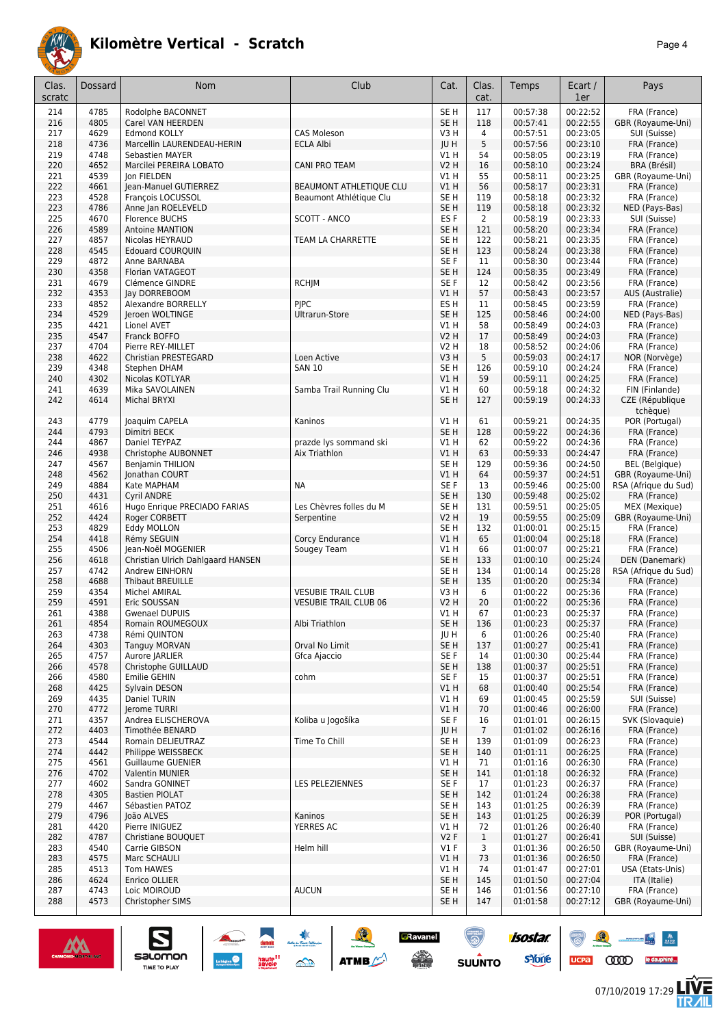

| Clas.<br>scratc | Dossard      | <b>Nom</b>                                              | Club                           | Cat.                               | Clas.<br>cat.         | Temps                | Ecart /<br>1er       | Pays                                 |
|-----------------|--------------|---------------------------------------------------------|--------------------------------|------------------------------------|-----------------------|----------------------|----------------------|--------------------------------------|
| 214             | 4785         | Rodolphe BACONNET                                       |                                | SE <sub>H</sub>                    | 117                   | 00:57:38             | 00:22:52             | FRA (France)                         |
| 216             | 4805         | Carel VAN HEERDEN                                       |                                | SE <sub>H</sub>                    | 118                   | 00:57:41             | 00:22:55             | GBR (Royaume-Uni)                    |
| 217             | 4629         | <b>Edmond KOLLY</b>                                     | <b>CAS Moleson</b>             | V3H                                | $\overline{4}$        | 00:57:51             | 00:23:05             | SUI (Suisse)                         |
| 218<br>219      | 4736<br>4748 | Marcellin LAURENDEAU-HERIN<br><b>Sebastien MAYER</b>    | <b>ECLA Albi</b>               | JU H<br>V1 H                       | 5<br>54               | 00:57:56<br>00:58:05 | 00:23:10<br>00:23:19 | FRA (France)<br>FRA (France)         |
| 220             | 4652         | Marcilei PEREIRA LOBATO                                 | <b>CANI PRO TEAM</b>           | <b>V2 H</b>                        | 16                    | 00:58:10             | 00:23:24             | BRA (Brésil)                         |
| 221             | 4539         | Jon FIELDEN                                             |                                | V1 H                               | 55                    | 00:58:11             | 00:23:25             | GBR (Royaume-Uni)                    |
| 222             | 4661         | Jean-Manuel GUTIERREZ                                   | <b>BEAUMONT ATHLETIQUE CLU</b> | V1H                                | 56                    | 00:58:17             | 00:23:31             | FRA (France)                         |
| 223             | 4528         | François LOCUSSOL                                       | Beaumont Athlétique Clu        | SE <sub>H</sub>                    | 119                   | 00:58:18             | 00:23:32             | FRA (France)                         |
| 223             | 4786         | Anne Jan ROELEVELD                                      |                                | SE <sub>H</sub>                    | 119                   | 00:58:18             | 00:23:32             | NED (Pays-Bas)                       |
| 225<br>226      | 4670<br>4589 | <b>Florence BUCHS</b><br><b>Antoine MANTION</b>         | SCOTT - ANCO                   | ES <sub>F</sub><br>SE <sub>H</sub> | 2<br>121              | 00:58:19<br>00:58:20 | 00:23:33<br>00:23:34 | SUI (Suisse)<br>FRA (France)         |
| 227             | 4857         | Nicolas HEYRAUD                                         | TEAM LA CHARRETTE              | SE <sub>H</sub>                    | 122                   | 00:58:21             | 00:23:35             | FRA (France)                         |
| 228             | 4545         | <b>Edouard COURQUIN</b>                                 |                                | SE <sub>H</sub>                    | 123                   | 00:58:24             | 00:23:38             | FRA (France)                         |
| 229             | 4872         | Anne BARNABA                                            |                                | SE F                               | 11                    | 00:58:30             | 00:23:44             | FRA (France)                         |
| 230             | 4358         | Florian VATAGEOT                                        |                                | SE <sub>H</sub>                    | 124                   | 00:58:35             | 00:23:49             | FRA (France)                         |
| 231<br>232      | 4679<br>4353 | Clémence GINDRE<br>Jay DORREBOOM                        | <b>RCHJM</b>                   | SE F<br>V1 H                       | 12<br>57              | 00:58:42<br>00:58:43 | 00:23:56<br>00:23:57 | FRA (France)<br>AUS (Australie)      |
| 233             | 4852         | Alexandre BORRELLY                                      | <b>PIPC</b>                    | ES <sub>H</sub>                    | 11                    | 00:58:45             | 00:23:59             | FRA (France)                         |
| 234             | 4529         | Jeroen WOLTINGE                                         | Ultrarun-Store                 | SE <sub>H</sub>                    | 125                   | 00:58:46             | 00:24:00             | NED (Pays-Bas)                       |
| 235             | 4421         | Lionel AVET                                             |                                | V1 H                               | 58                    | 00:58:49             | 00:24:03             | FRA (France)                         |
| 235             | 4547         | Franck BOFFO                                            |                                | <b>V2 H</b>                        | 17                    | 00:58:49             | 00:24:03             | FRA (France)                         |
| 237<br>238      | 4704<br>4622 | Pierre REY-MILLET<br>Christian PRESTEGARD               | Loen Active                    | <b>V2 H</b><br>V3H                 | 18<br>5               | 00:58:52<br>00:59:03 | 00:24:06<br>00:24:17 | FRA (France)<br>NOR (Norvège)        |
| 239             | 4348         | Stephen DHAM                                            | <b>SAN 10</b>                  | SE <sub>H</sub>                    | 126                   | 00:59:10             | 00:24:24             | FRA (France)                         |
| 240             | 4302         | Nicolas KOTLYAR                                         |                                | VIH                                | 59                    | 00:59:11             | 00:24:25             | FRA (France)                         |
| 241             | 4639         | Mika SAVOLAINEN                                         | Samba Trail Running Clu        | V1 H                               | 60                    | 00:59:18             | 00:24:32             | FIN (Finlande)                       |
| 242             | 4614         | <b>Michal BRYXI</b>                                     |                                | SE <sub>H</sub>                    | 127                   | 00:59:19             | 00:24:33             | CZE (République                      |
| 243             | 4779         | Joaquim CAPELA                                          | Kaninos                        | V1H                                | 61                    | 00:59:21             | 00:24:35             | tchèque)<br>POR (Portugal)           |
| 244             | 4793         | Dimitri BECK                                            |                                | SE <sub>H</sub>                    | 128                   | 00:59:22             | 00:24:36             | FRA (France)                         |
| 244             | 4867         | Daniel TEYPAZ                                           | prazde lys sommand ski         | V1H                                | 62                    | 00:59:22             | 00:24:36             | FRA (France)                         |
| 246             | 4938         | Christophe AUBONNET                                     | Aix Triathlon                  | V1H                                | 63                    | 00:59:33             | 00:24:47             | FRA (France)                         |
| 247             | 4567         | <b>Benjamin THILION</b>                                 |                                | SE <sub>H</sub>                    | 129                   | 00:59:36             | 00:24:50             | <b>BEL</b> (Belgique)                |
| 248             | 4562         | Jonathan COURT                                          |                                | VIH                                | 64                    | 00:59:37             | 00:24:51             | GBR (Royaume-Uni)                    |
| 249<br>250      | 4884<br>4431 | Kate MAPHAM<br>Cyril ANDRE                              | NA                             | SE F<br>SE <sub>H</sub>            | 13<br>130             | 00:59:46<br>00:59:48 | 00:25:00<br>00:25:02 | RSA (Afrique du Sud)<br>FRA (France) |
| 251             | 4616         | Hugo Enrique PRECIADO FARIAS                            | Les Chèvres folles du M        | SE <sub>H</sub>                    | 131                   | 00:59:51             | 00:25:05             | MEX (Mexique)                        |
| 252             | 4424         | Roger CORBETT                                           | Serpentine                     | <b>V2 H</b>                        | 19                    | 00:59:55             | 00:25:09             | GBR (Royaume-Uni)                    |
| 253             | 4829         | Eddy MOLLON                                             |                                | SE <sub>H</sub>                    | 132                   | 01:00:01             | 00:25:15             | FRA (France)                         |
| 254             | 4418         | Rémy SEGUIN                                             | Corcy Endurance                | V1H                                | 65                    | 01:00:04             | 00:25:18             | FRA (France)                         |
| 255<br>256      | 4506<br>4618 | Jean-Noël MOGENIER<br>Christian Ulrich Dahlgaard HANSEN | Sougey Team                    | V1H<br>SE <sub>H</sub>             | 66<br>133             | 01:00:07<br>01:00:10 | 00:25:21<br>00:25:24 | FRA (France)<br>DEN (Danemark)       |
| 257             | 4742         | Andrew EINHORN                                          |                                | SE <sub>H</sub>                    | 134                   | 01:00:14             | 00:25:28             | RSA (Afrique du Sud)                 |
| 258             | 4688         | <b>Thibaut BREUILLE</b>                                 |                                | SE <sub>H</sub>                    | 135                   | 01:00:20             | 00:25:34             | FRA (France)                         |
| 259             | 4354         | Michel AMIRAL                                           | <b>VESUBIE TRAIL CLUB</b>      | V3H                                | 6                     | 01:00:22             | 00:25:36             | FRA (France)                         |
| 259<br>261      | 4591<br>4388 | Eric SOUSSAN<br><b>Gwenael DUPUIS</b>                   | <b>VESUBIE TRAIL CLUB 06</b>   | V2 H<br>V1 H                       | 20<br>67              | 01:00:22             | 00:25:36             | FRA (France)                         |
| 261             | 4854         | Romain ROUMEGOUX                                        | Albi Triathlon                 | SE H                               | 136                   | 01:00:23<br>01:00:23 | 00:25:37<br>00:25:37 | FRA (France)<br>FRA (France)         |
| 263             | 4738         | Rémi QUINTON                                            |                                | JU H                               | 6                     | 01:00:26             | 00:25:40             | FRA (France)                         |
| 264             | 4303         | <b>Tanguy MORVAN</b>                                    | Orval No Limit                 | SE <sub>H</sub>                    | 137                   | 01:00:27             | 00:25:41             | FRA (France)                         |
| 265             | 4757         | Aurore JARLIER                                          | Gfca Ajaccio                   | SE F                               | 14                    | 01:00:30             | 00:25:44             | FRA (France)                         |
| 266<br>266      | 4578<br>4580 | Christophe GUILLAUD<br>Emilie GEHIN                     | cohm                           | SE <sub>H</sub><br>SE F            | 138<br>15             | 01:00:37<br>01:00:37 | 00:25:51<br>00:25:51 | FRA (France)<br>FRA (France)         |
| 268             | 4425         | Sylvain DESON                                           |                                | V1 H                               | 68                    | 01:00:40             | 00:25:54             | FRA (France)                         |
| 269             | 4435         | Daniel TURIN                                            |                                | V1 H                               | 69                    | 01:00:45             | 00:25:59             | SUI (Suisse)                         |
| 270             | 4772         | Jerome TURRI                                            |                                | V1 H                               | 70                    | 01:00:46             | 00:26:00             | FRA (France)                         |
| 271             | 4357         | Andrea ELISCHEROVA                                      | Koliba u Jogošíka              | SE F                               | 16                    | 01:01:01             | 00:26:15             | SVK (Slovaquie)                      |
| 272<br>273      | 4403<br>4544 | Timothée BENARD<br>Romain DELIEUTRAZ                    | Time To Chill                  | JU H<br>SE H                       | $\overline{7}$<br>139 | 01:01:02<br>01:01:09 | 00:26:16<br>00:26:23 | FRA (France)<br>FRA (France)         |
| 274             | 4442         | Philippe WEISSBECK                                      |                                | SE H                               | 140                   | 01:01:11             | 00:26:25             | FRA (France)                         |
| 275             | 4561         | <b>Guillaume GUENIER</b>                                |                                | V1 H                               | 71                    | 01:01:16             | 00:26:30             | FRA (France)                         |
| 276             | 4702         | Valentin MUNIER                                         |                                | SE H                               | 141                   | 01:01:18             | 00:26:32             | FRA (France)                         |
| 277             | 4602         | Sandra GONINET                                          | LES PELEZIENNES                | SE F                               | 17                    | 01:01:23             | 00:26:37             | FRA (France)                         |
| 278<br>279      | 4305<br>4467 | <b>Bastien PIOLAT</b><br>Sébastien PATOZ                |                                | SE <sub>H</sub><br>SE <sub>H</sub> | 142<br>143            | 01:01:24<br>01:01:25 | 00:26:38<br>00:26:39 | FRA (France)<br>FRA (France)         |
| 279             | 4796         | João ALVES                                              | Kaninos                        | SE <sub>H</sub>                    | 143                   | 01:01:25             | 00:26:39             | POR (Portugal)                       |
| 281             | 4420         | Pierre INIGUEZ                                          | <b>YERRES AC</b>               | V1 H                               | 72                    | 01:01:26             | 00:26:40             | FRA (France)                         |
| 282             | 4787         | Christiane BOUQUET                                      |                                | V2F                                | $\mathbf{1}$          | 01:01:27             | 00:26:41             | SUI (Suisse)                         |
| 283             | 4540         | Carrie GIBSON                                           | Helm hill                      | $VI$ F                             | 3                     | 01:01:36             | 00:26:50             | GBR (Royaume-Uni)                    |
| 283             | 4575         | Marc SCHAULI                                            |                                | VIH                                | 73                    | 01:01:36             | 00:26:50             | FRA (France)                         |
| 285<br>286      | 4513<br>4624 | Tom HAWES<br>Enrico OLLIER                              |                                | V1 H<br>SE H                       | 74<br>145             | 01:01:47<br>01:01:50 | 00:27:01<br>00:27:04 | USA (Etats-Unis)<br>ITA (Italie)     |
| 287             | 4743         | Loic MOIROUD                                            | <b>AUCUN</b>                   | SE H                               | 146                   | 01:01:56             | 00:27:10             | FRA (France)                         |
| 288             | 4573         | Christopher SIMS                                        |                                | SE H                               | 147                   | 01:01:58             | 00:27:12             | GBR (Royaume-Uni)                    |
|                 |              |                                                         |                                |                                    |                       |                      |                      |                                      |

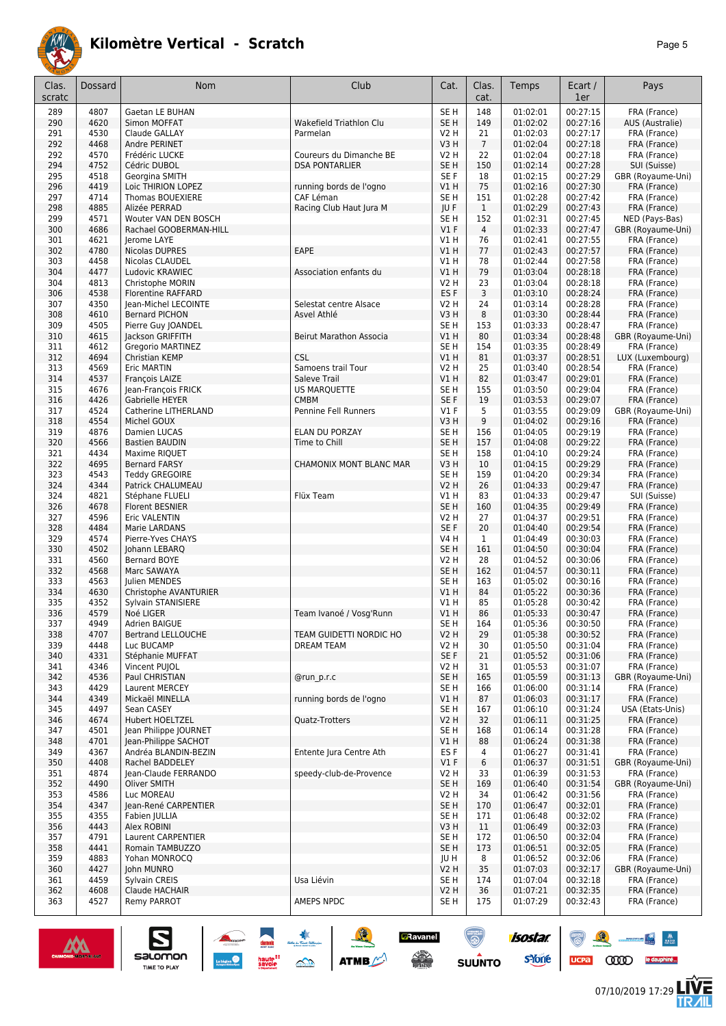

| Clas.<br>scratc | Dossard      | Nom                                             | Club                                             | Cat.                           | Clas.<br>cat.  | Temps                | Ecart /<br>1er       | Pays                              |
|-----------------|--------------|-------------------------------------------------|--------------------------------------------------|--------------------------------|----------------|----------------------|----------------------|-----------------------------------|
| 289             | 4807         | Gaetan LE BUHAN                                 |                                                  | SE <sub>H</sub>                | 148            | 01:02:01             | 00:27:15             | FRA (France)                      |
| 290             | 4620         | Simon MOFFAT                                    | Wakefield Triathlon Clu                          | SE <sub>H</sub>                | 149            | 01:02:02             | 00:27:16             | AUS (Australie)                   |
| 291             | 4530         | Claude GALLAY                                   | Parmelan                                         | V2 H                           | 21             | 01:02:03             | 00:27:17             | FRA (France)                      |
| 292             | 4468         | Andre PERINET                                   |                                                  | V3H                            | $\overline{7}$ | 01:02:04             | 00:27:18             | FRA (France)                      |
| 292<br>294      | 4570<br>4752 | Frédéric LUCKE<br>Cédric DUBOL                  | Coureurs du Dimanche BE<br><b>DSA PONTARLIER</b> | V2 H<br>SE <sub>H</sub>        | 22<br>150      | 01:02:04<br>01:02:14 | 00:27:18<br>00:27:28 | FRA (France)<br>SUI (Suisse)      |
| 295             | 4518         | Georgina SMITH                                  |                                                  | SE F                           | 18             | 01:02:15             | 00:27:29             | GBR (Royaume-Uni)                 |
| 296             | 4419         | Loic THIRION LOPEZ                              | running bords de l'ogno                          | V1H                            | 75             | 01:02:16             | 00:27:30             | FRA (France)                      |
| 297             | 4714         | Thomas BOUEXIERE                                | CAF Léman                                        | SE <sub>H</sub>                | 151            | 01:02:28             | 00:27:42             | FRA (France)                      |
| 298             | 4885         | Alizée PERRAD                                   | Racing Club Haut Jura M                          | JU F                           | $\mathbf{1}$   | 01:02:29             | 00:27:43             | FRA (France)                      |
| 299             | 4571         | Wouter VAN DEN BOSCH                            |                                                  | SE <sub>H</sub>                | 152            | 01:02:31             | 00:27:45             | NED (Pays-Bas)                    |
| 300             | 4686         | Rachael GOOBERMAN-HILL                          |                                                  | V1F                            | $\overline{4}$ | 01:02:33             | 00:27:47             | GBR (Royaume-Uni)                 |
| 301<br>302      | 4621<br>4780 | Jerome LAYE<br><b>Nicolas DUPRES</b>            | EAPE                                             | V1 H<br>VIH                    | 76<br>77       | 01:02:41<br>01:02:43 | 00:27:55<br>00:27:57 | FRA (France)<br>FRA (France)      |
| 303             | 4458         | Nicolas CLAUDEL                                 |                                                  | V1 H                           | 78             | 01:02:44             | 00:27:58             | FRA (France)                      |
| 304             | 4477         | Ludovic KRAWIEC                                 | Association enfants du                           | VIH                            | 79             | 01:03:04             | 00:28:18             | FRA (France)                      |
| 304             | 4813         | Christophe MORIN                                |                                                  | V2 H                           | 23             | 01:03:04             | 00:28:18             | FRA (France)                      |
| 306             | 4538         | <b>Florentine RAFFARD</b>                       |                                                  | ES <sub>F</sub>                | 3              | 01:03:10             | 00:28:24             | FRA (France)                      |
| 307             | 4350         | Jean-Michel LECOINTE                            | Selestat centre Alsace                           | V2 H                           | 24             | 01:03:14             | 00:28:28             | FRA (France)                      |
| 308             | 4610         | <b>Bernard PICHON</b>                           | Asvel Athlé                                      | V3H                            | 8              | 01:03:30             | 00:28:44             | FRA (France)                      |
| 309<br>310      | 4505<br>4615 | Pierre Guy JOANDEL<br>Jackson GRIFFITH          | Beirut Marathon Associa                          | SE H<br>V1H                    | 153<br>80      | 01:03:33<br>01:03:34 | 00:28:47<br>00:28:48 | FRA (France)<br>GBR (Royaume-Uni) |
| 311             | 4612         | Gregorio MARTINEZ                               |                                                  | SE <sub>H</sub>                | 154            | 01:03:35             | 00:28:49             | FRA (France)                      |
| 312             | 4694         | Christian KEMP                                  | <b>CSL</b>                                       | V1H                            | 81             | 01:03:37             | 00:28:51             | LUX (Luxembourg)                  |
| 313             | 4569         | Eric MARTIN                                     | Samoens trail Tour                               | V2 H                           | 25             | 01:03:40             | 00:28:54             | FRA (France)                      |
| 314             | 4537         | François LAIZE                                  | Saleve Trail                                     | V1H                            | 82             | 01:03:47             | 00:29:01             | FRA (France)                      |
| 315             | 4676         | Jean-François FRICK                             | US MARQUETTE                                     | SE <sub>H</sub>                | 155            | 01:03:50             | 00:29:04             | FRA (France)                      |
| 316             | 4426         | Gabrielle HEYER<br>Catherine LITHERLAND         | <b>CMBM</b>                                      | SE F                           | 19             | 01:03:53             | 00:29:07             | FRA (France)                      |
| 317<br>318      | 4524<br>4554 | Michel GOUX                                     | Pennine Fell Runners                             | $VI$ F<br>V3H                  | 5<br>$9\,$     | 01:03:55<br>01:04:02 | 00:29:09<br>00:29:16 | GBR (Royaume-Uni)<br>FRA (France) |
| 319             | 4876         | Damien LUCAS                                    | ELAN DU PORZAY                                   | SE <sub>H</sub>                | 156            | 01:04:05             | 00:29:19             | FRA (France)                      |
| 320             | 4566         | <b>Bastien BAUDIN</b>                           | Time to Chill                                    | SE <sub>H</sub>                | 157            | 01:04:08             | 00:29:22             | FRA (France)                      |
| 321             | 4434         | Maxime RIQUET                                   |                                                  | SE <sub>H</sub>                | 158            | 01:04:10             | 00:29:24             | FRA (France)                      |
| 322             | 4695         | <b>Bernard FARSY</b>                            | CHAMONIX MONT BLANC MAR                          | V3H                            | 10             | 01:04:15             | 00:29:29             | FRA (France)                      |
| 323             | 4543         | <b>Teddy GREGOIRE</b>                           |                                                  | SE <sub>H</sub>                | 159            | 01:04:20             | 00:29:34             | FRA (France)                      |
| 324<br>324      | 4344<br>4821 | Patrick CHALUMEAU<br>Stéphane FLUELI            | Flüx Team                                        | <b>V2 H</b><br>V1 H            | 26<br>83       | 01:04:33<br>01:04:33 | 00:29:47<br>00:29:47 | FRA (France)<br>SUI (Suisse)      |
| 326             | 4678         | Florent BESNIER                                 |                                                  | SE <sub>H</sub>                | 160            | 01:04:35             | 00:29:49             | FRA (France)                      |
| 327             | 4596         | Eric VALENTIN                                   |                                                  | V2 H                           | 27             | 01:04:37             | 00:29:51             | FRA (France)                      |
| 328             | 4484         | Marie LARDANS                                   |                                                  | SE F                           | 20             | 01:04:40             | 00:29:54             | FRA (France)                      |
| 329             | 4574         | Pierre-Yves CHAYS                               |                                                  | V4 H                           | $\mathbf{1}$   | 01:04:49             | 00:30:03             | FRA (France)                      |
| 330             | 4502         | Johann LEBARQ                                   |                                                  | SE <sub>H</sub>                | 161            | 01:04:50             | 00:30:04             | FRA (France)                      |
| 331<br>332      | 4560<br>4568 | Bernard BOYE<br>Marc SAWAYA                     |                                                  | V2 H<br>SE <sub>H</sub>        | 28<br>162      | 01:04:52<br>01:04:57 | 00:30:06<br>00:30:11 | FRA (France)<br>FRA (France)      |
| 333             | 4563         | Julien MENDES                                   |                                                  | SE <sub>H</sub>                | 163            | 01:05:02             | 00:30:16             | FRA (France)                      |
| 334             | 4630         | Christophe AVANTURIER                           |                                                  | V1 H                           | 84             | 01:05:22             | 00:30:36             | FRA (France)                      |
| 335             | 4352         | Sylvain STANISIERE                              |                                                  | V1 H                           | 85             | 01:05:28             | 00:30:42             | FRA (France)                      |
| 336             | 4579         | Noé LIGER                                       | Team Ivanoé / Vosg'Runn                          | <b>V1 H</b>                    | 86             | 01:05:33             | 00:30:47             | FRA (France)                      |
| 337             | 4949         | Adrien BAIGUE                                   |                                                  | SE <sub>H</sub>                | 164            | 01:05:36             | 00:30:50             | FRA (France)                      |
| 338             | 4707<br>4448 | <b>Bertrand LELLOUCHE</b><br>Luc BUCAMP         | TEAM GUIDETTI NORDIC HO                          | <b>V2 H</b><br><b>V2 H</b>     | 29             | 01:05:38<br>01:05:50 | 00:30:52<br>00:31:04 | FRA (France)<br>FRA (France)      |
| 339<br>340      | 4331         | Stéphanie MUFFAT                                | <b>DREAM TEAM</b>                                | SE F                           | 30<br>21       | 01:05:52             | 00:31:06             | FRA (France)                      |
| 341             | 4346         | Vincent PUJOL                                   |                                                  | V2 H                           | 31             | 01:05:53             | 00:31:07             | FRA (France)                      |
| 342             | 4536         | Paul CHRISTIAN                                  | @run p.r.c                                       | SE <sub>H</sub>                | 165            | 01:05:59             | 00:31:13             | GBR (Royaume-Uni)                 |
| 343             | 4429         | Laurent MERCEY                                  |                                                  | SE H                           | 166            | 01:06:00             | 00:31:14             | FRA (France)                      |
| 344             | 4349         | Mickaël MINELLA                                 | running bords de l'ogno                          | V1 H                           | 87             | 01:06:03             | 00:31:17             | FRA (France)                      |
| 345             | 4497         | Sean CASEY                                      | <b>Ouatz-Trotters</b>                            | SE <sub>H</sub><br><b>V2 H</b> | 167<br>32      | 01:06:10<br>01:06:11 | 00:31:24<br>00:31:25 | USA (Etats-Unis)<br>FRA (France)  |
| 346<br>347      | 4674<br>4501 | <b>Hubert HOELTZEL</b><br>Jean Philippe JOURNET |                                                  | SE <sub>H</sub>                | 168            | 01:06:14             | 00:31:28             | FRA (France)                      |
| 348             | 4701         | Jean-Philippe SACHOT                            |                                                  | V1H                            | 88             | 01:06:24             | 00:31:38             | FRA (France)                      |
| 349             | 4367         | Andréa BLANDIN-BEZIN                            | Entente Jura Centre Ath                          | ES <sub>F</sub>                | 4              | 01:06:27             | 00:31:41             | FRA (France)                      |
| 350             | 4408         | Rachel BADDELEY                                 |                                                  | V1F                            | 6              | 01:06:37             | 00:31:51             | GBR (Royaume-Uni)                 |
| 351             | 4874         | Jean-Claude FERRANDO                            | speedy-club-de-Provence                          | V2 H                           | 33             | 01:06:39             | 00:31:53             | FRA (France)                      |
| 352             | 4490         | Oliver SMITH                                    |                                                  | SE <sub>H</sub>                | 169            | 01:06:40             | 00:31:54             | GBR (Royaume-Uni)                 |
| 353<br>354      | 4586<br>4347 | Luc MOREAU<br>Jean-René CARPENTIER              |                                                  | V2 H<br>SE <sub>H</sub>        | 34<br>170      | 01:06:42<br>01:06:47 | 00:31:56<br>00:32:01 | FRA (France)<br>FRA (France)      |
| 355             | 4355         | Fabien JULLIA                                   |                                                  | SE H                           | 171            | 01:06:48             | 00:32:02             | FRA (France)                      |
| 356             | 4443         | Alex ROBINI                                     |                                                  | V3 H                           | 11             | 01:06:49             | 00:32:03             | FRA (France)                      |
| 357             | 4791         | Laurent CARPENTIER                              |                                                  | SE H                           | 172            | 01:06:50             | 00:32:04             | FRA (France)                      |
| 358             | 4441         | Romain TAMBUZZO                                 |                                                  | SE <sub>H</sub>                | 173            | 01:06:51             | 00:32:05             | FRA (France)                      |
| 359             | 4883         | Yohan MONROCO                                   |                                                  | JU H                           | 8              | 01:06:52             | 00:32:06             | FRA (France)                      |
| 360<br>361      | 4427<br>4459 | John MUNRO<br>Sylvain CREIS                     | Usa Liévin                                       | <b>V2 H</b><br>SE H            | 35<br>174      | 01:07:03<br>01:07:04 | 00:32:17<br>00:32:18 | GBR (Royaume-Uni)<br>FRA (France) |
| 362             | 4608         | Claude HACHAIR                                  |                                                  | <b>V2 H</b>                    | 36             | 01:07:21             | 00:32:35             | FRA (France)                      |
| 363             | 4527         | Remy PARROT                                     | AMEPS NPDC                                       | SE H                           | 175            | 01:07:29             | 00:32:43             | FRA (France)                      |
|                 |              |                                                 |                                                  |                                |                |                      |                      |                                   |

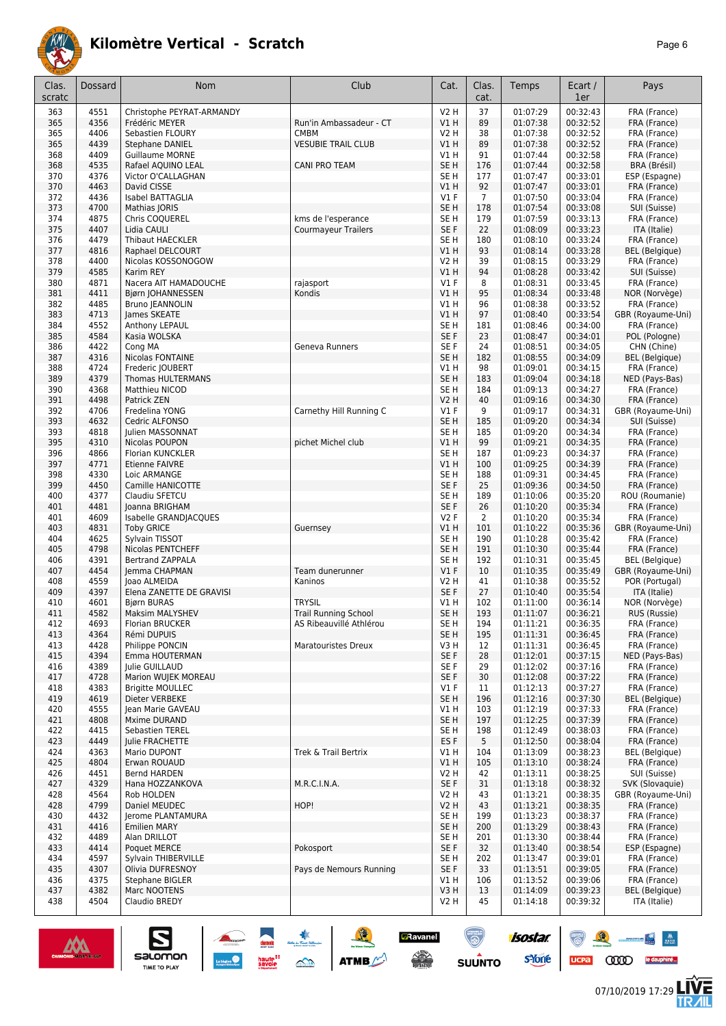

| Clas.<br>scratc | Dossard      | Nom                                            | Club                        | Cat.                               | Clas.<br>cat.  | Temps                | Ecart /<br>1er       | Pays                                  |
|-----------------|--------------|------------------------------------------------|-----------------------------|------------------------------------|----------------|----------------------|----------------------|---------------------------------------|
| 363             | 4551         | Christophe PEYRAT-ARMANDY                      |                             | <b>V2 H</b>                        | 37             | 01:07:29             | 00:32:43             | FRA (France)                          |
| 365             | 4356         | Frédéric MEYER                                 | Run'in Ambassadeur - CT     | V1H                                | 89             | 01:07:38             | 00:32:52             | FRA (France)                          |
| 365             | 4406         | Sebastien FLOURY                               | <b>CMBM</b>                 | V2 H                               | 38             | 01:07:38             | 00:32:52             | FRA (France)                          |
| 365             | 4439         | <b>Stephane DANIEL</b>                         | <b>VESUBIE TRAIL CLUB</b>   | V1H                                | 89             | 01:07:38             | 00:32:52             | FRA (France)                          |
| 368             | 4409         | <b>Guillaume MORNE</b>                         |                             | V1H                                | 91             | 01:07:44             | 00:32:58             | FRA (France)                          |
| 368             | 4535         | Rafael AQUINO LEAL                             | <b>CANI PRO TEAM</b>        | SE <sub>H</sub>                    | 176            | 01:07:44             | 00:32:58             | BRA (Brésil)                          |
| 370<br>370      | 4376<br>4463 | Victor O'CALLAGHAN<br>David CISSE              |                             | SE H<br>VIH                        | 177<br>92      | 01:07:47<br>01:07:47 | 00:33:01<br>00:33:01 | ESP (Espagne)<br>FRA (France)         |
| 372             | 4436         | Isabel BATTAGLIA                               |                             | $VI$ F                             | $\overline{7}$ | 01:07:50             | 00:33:04             | FRA (France)                          |
| 373             | 4700         | Mathias JORIS                                  |                             | SE <sub>H</sub>                    | 178            | 01:07:54             | 00:33:08             | SUI (Suisse)                          |
| 374             | 4875         | Chris COOUEREL                                 | kms de l'esperance          | SE <sub>H</sub>                    | 179            | 01:07:59             | 00:33:13             | FRA (France)                          |
| 375             | 4407         | Lidia CAULI                                    | <b>Courmayeur Trailers</b>  | SE F                               | 22             | 01:08:09             | 00:33:23             | ITA (Italie)                          |
| 376             | 4479         | Thibaut HAECKLER                               |                             | SE <sub>H</sub>                    | 180            | 01:08:10             | 00:33:24             | FRA (France)                          |
| 377             | 4816         | Raphael DELCOURT                               |                             | VIH                                | 93             | 01:08:14             | 00:33:28             | <b>BEL</b> (Belgique)                 |
| 378             | 4400         | Nicolas KOSSONOGOW                             |                             | V2 H                               | 39             | 01:08:15             | 00:33:29             | FRA (France)                          |
| 379<br>380      | 4585<br>4871 | Karim REY<br>Nacera AIT HAMADOUCHE             | rajasport                   | VIH<br>$VI$ F                      | 94<br>8        | 01:08:28<br>01:08:31 | 00:33:42<br>00:33:45 | SUI (Suisse)<br>FRA (France)          |
| 381             | 4411         | Bjørn JOHANNESSEN                              | Kondis                      | V1 H                               | 95             | 01:08:34             | 00:33:48             | NOR (Norvège)                         |
| 382             | 4485         | Bruno JEANNOLIN                                |                             | V1 H                               | 96             | 01:08:38             | 00:33:52             | FRA (France)                          |
| 383             | 4713         | James SKEATE                                   |                             | V1 H                               | 97             | 01:08:40             | 00:33:54             | GBR (Royaume-Uni)                     |
| 384             | 4552         | Anthony LEPAUL                                 |                             | SE <sub>H</sub>                    | 181            | 01:08:46             | 00:34:00             | FRA (France)                          |
| 385             | 4584         | Kasia WOLSKA                                   |                             | SE <sub>F</sub>                    | 23             | 01:08:47             | 00:34:01             | POL (Pologne)                         |
| 386             | 4422         | Cong MA                                        | Geneva Runners              | SE F                               | 24             | 01:08:51             | 00:34:05             | CHN (Chine)                           |
| 387             | 4316         | Nicolas FONTAINE                               |                             | SE <sub>H</sub>                    | 182            | 01:08:55             | 00:34:09             | <b>BEL</b> (Belgique)                 |
| 388             | 4724         | Frederic JOUBERT                               |                             | V1H                                | 98             | 01:09:01             | 00:34:15             | FRA (France)                          |
| 389<br>390      | 4379<br>4368 | Thomas HULTERMANS<br>Matthieu NICOD            |                             | SE <sub>H</sub><br>SE <sub>H</sub> | 183<br>184     | 01:09:04<br>01:09:13 | 00:34:18<br>00:34:27 | NED (Pays-Bas)                        |
| 391             | 4498         | Patrick ZEN                                    |                             | <b>V2 H</b>                        | 40             | 01:09:16             | 00:34:30             | FRA (France)<br>FRA (France)          |
| 392             | 4706         | Fredelina YONG                                 | Carnethy Hill Running C     | $VI$ F                             | 9              | 01:09:17             | 00:34:31             | GBR (Royaume-Uni)                     |
| 393             | 4632         | Cedric ALFONSO                                 |                             | SE <sub>H</sub>                    | 185            | 01:09:20             | 00:34:34             | SUI (Suisse)                          |
| 393             | 4818         | Julien MASSONNAT                               |                             | SE H                               | 185            | 01:09:20             | 00:34:34             | FRA (France)                          |
| 395             | 4310         | Nicolas POUPON                                 | pichet Michel club          | V1 H                               | 99             | 01:09:21             | 00:34:35             | FRA (France)                          |
| 396             | 4866         | Florian KUNCKLER                               |                             | SE <sub>H</sub>                    | 187            | 01:09:23             | 00:34:37             | FRA (France)                          |
| 397             | 4771         | Etienne FAIVRE                                 |                             | V1H                                | 100            | 01:09:25             | 00:34:39             | FRA (France)                          |
| 398             | 4330         | Loic ARMANGE                                   |                             | SE <sub>H</sub>                    | 188            | 01:09:31             | 00:34:45             | FRA (France)                          |
| 399<br>400      | 4450<br>4377 | Camille HANICOTTE<br>Claudiu SFETCU            |                             | SE F<br>SE <sub>H</sub>            | 25<br>189      | 01:09:36<br>01:10:06 | 00:34:50<br>00:35:20 | FRA (France)<br>ROU (Roumanie)        |
| 401             | 4481         | Joanna BRIGHAM                                 |                             | SE F                               | 26             | 01:10:20             | 00:35:34             | FRA (France)                          |
| 401             | 4609         | Isabelle GRANDJACQUES                          |                             | V2F                                | $\overline{2}$ | 01:10:20             | 00:35:34             | FRA (France)                          |
| 403             | 4831         | <b>Toby GRICE</b>                              | Guernsey                    | VIH                                | 101            | 01:10:22             | 00:35:36             | GBR (Royaume-Uni)                     |
| 404             | 4625         | Sylvain TISSOT                                 |                             | SE <sub>H</sub>                    | 190            | 01:10:28             | 00:35:42             | FRA (France)                          |
| 405             | 4798         | Nicolas PENTCHEFF                              |                             | SE <sub>H</sub>                    | 191            | 01:10:30             | 00:35:44             | FRA (France)                          |
| 406             | 4391         | <b>Bertrand ZAPPALA</b>                        |                             | SE H                               | 192            | 01:10:31             | 00:35:45             | <b>BEL</b> (Belgique)                 |
| 407             | 4454         | Jemma CHAPMAN                                  | Team dunerunner             | $VI$ F                             | 10             | 01:10:35             | 00:35:49             | GBR (Royaume-Uni)                     |
| 408<br>409      | 4559<br>4397 | Joao ALMEIDA<br>Elena ZANETTE DE GRAVISI       | Kaninos                     | V2 H<br>SE <sub>F</sub>            | 41<br>27       | 01:10:38<br>01:10:40 | 00:35:52<br>00:35:54 | POR (Portugal)<br>ITA (Italie)        |
| 410             | 4601         | <b>Bjørn BURAS</b>                             | <b>TRYSIL</b>               | V1 H                               | 102            | 01:11:00             | 00:36:14             | NOR (Norvège)                         |
| 411             | 4582         | Maksim MALYSHEV                                | <b>Trail Running School</b> | SE H                               | 193            | 01:11:07             | 00:36:21             | RUS (Russie)                          |
| 412             | 4693         | <b>Florian BRUCKER</b>                         | AS Ribeauvillé Athlerou     | SE H                               | 194            | 01:11:21             | 00:36:35             | FRA (France)                          |
| 413             | 4364         | Rémi DUPUIS                                    |                             | SE H                               | 195            | 01:11:31             | 00:36:45             | FRA (France)                          |
| 413             | 4428         | Philippe PONCIN                                | <b>Maratouristes Dreux</b>  | V3H                                | 12             | 01:11:31             | 00:36:45             | FRA (France)                          |
| 415             | 4394         | Emma HOUTERMAN                                 |                             | SE F                               | 28             | 01:12:01             | 00:37:15             | NED (Pays-Bas)                        |
| 416             | 4389         | Julie GUILLAUD                                 |                             | SE F                               | 29             | 01:12:02             | 00:37:16             | FRA (France)                          |
| 417<br>418      | 4728<br>4383 | Marion WUJEK MOREAU<br><b>Brigitte MOULLEC</b> |                             | SE F<br>$VI$ F                     | 30<br>11       | 01:12:08<br>01:12:13 | 00:37:22<br>00:37:27 | FRA (France)<br>FRA (France)          |
| 419             | 4619         | Dieter VERBEKE                                 |                             | SE H                               | 196            | 01:12:16             | 00:37:30             | <b>BEL</b> (Belgique)                 |
| 420             | 4555         | Jean Marie GAVEAU                              |                             | V1 H                               | 103            | 01:12:19             | 00:37:33             | FRA (France)                          |
| 421             | 4808         | Mxime DURAND                                   |                             | SE <sub>H</sub>                    | 197            | 01:12:25             | 00:37:39             | FRA (France)                          |
| 422             | 4415         | Sebastien TEREL                                |                             | SE H                               | 198            | 01:12:49             | 00:38:03             | FRA (France)                          |
| 423             | 4449         | Julie FRACHETTE                                |                             | ES <sub>F</sub>                    | 5              | 01:12:50             | 00:38:04             | FRA (France)                          |
| 424             | 4363         | Mario DUPONT                                   | Trek & Trail Bertrix        | V1 H                               | 104            | 01:13:09             | 00:38:23             | <b>BEL</b> (Belgique)                 |
| 425             | 4804         | Erwan ROUAUD                                   |                             | V1H                                | 105            | 01:13:10             | 00:38:24             | FRA (France)                          |
| 426             | 4451         | Bernd HARDEN                                   |                             | V2 H                               | 42             | 01:13:11             | 00:38:25             | SUI (Suisse)                          |
| 427<br>428      | 4329<br>4564 | Hana HOZZANKOVA<br>Rob HOLDEN                  | M.R.C.I.N.A.                | SE F<br>V2 H                       | 31<br>43       | 01:13:18<br>01:13:21 | 00:38:32<br>00:38:35 | SVK (Slovaquie)<br>GBR (Royaume-Uni)  |
| 428             | 4799         | Daniel MEUDEC                                  | HOP!                        | V2 H                               | 43             | 01:13:21             | 00:38:35             | FRA (France)                          |
| 430             | 4432         | Jerome PLANTAMURA                              |                             | SE H                               | 199            | 01:13:23             | 00:38:37             | FRA (France)                          |
| 431             | 4416         | <b>Emilien MARY</b>                            |                             | SE H                               | 200            | 01:13:29             | 00:38:43             | FRA (France)                          |
| 432             | 4489         | Alan DRILLOT                                   |                             | SE H                               | 201            | 01:13:30             | 00:38:44             | FRA (France)                          |
| 433             | 4414         | Poquet MERCE                                   | Pokosport                   | SE F                               | 32             | 01:13:40             | 00:38:54             | ESP (Espagne)                         |
| 434             | 4597         | Sylvain THIBERVILLE                            |                             | SE H                               | 202            | 01:13:47             | 00:39:01             | FRA (France)                          |
| 435             | 4307         | Olivia DUFRESNOY                               | Pays de Nemours Running     | SE F                               | 33             | 01:13:51             | 00:39:05             | FRA (France)                          |
| 436<br>437      | 4375<br>4382 | Stephane BIGLER<br>Marc NOOTENS                |                             | V1 H<br>V3H                        | 106<br>13      | 01:13:52<br>01:14:09 | 00:39:06<br>00:39:23 | FRA (France)<br><b>BEL</b> (Belgique) |
| 438             | 4504         | Claudio BREDY                                  |                             | V2 H                               | 45             | 01:14:18             | 00:39:32             | ITA (Italie)                          |
|                 |              |                                                |                             |                                    |                |                      |                      |                                       |

 $\frac{1}{\sqrt{2}}$ <br>ATMB $\frac{1}{2}$ 

**D**Ravanel

 $\begin{picture}(180,10) \put(0,0){\line(1,0){15}} \put(10,0){\line(1,0){15}} \put(10,0){\line(1,0){15}} \put(10,0){\line(1,0){15}} \put(10,0){\line(1,0){15}} \put(10,0){\line(1,0){15}} \put(10,0){\line(1,0){15}} \put(10,0){\line(1,0){15}} \put(10,0){\line(1,0){15}} \put(10,0){\line(1,0){15}} \put(10,0){\line(1,0){15}} \put(10,0){\line($ 

 $\bigcirc$ 

**SUUNTO** 



 $\sum_{\text{SALOMOM}}$ 

**August** 

*<u>Professor</u>* 

**CODO** le dauphiné...

 $\mathcal{R}$ 

ucpa

 $\frac{M}{2}$ 

/后<br>⁄IIL

isostar.

**s**Yone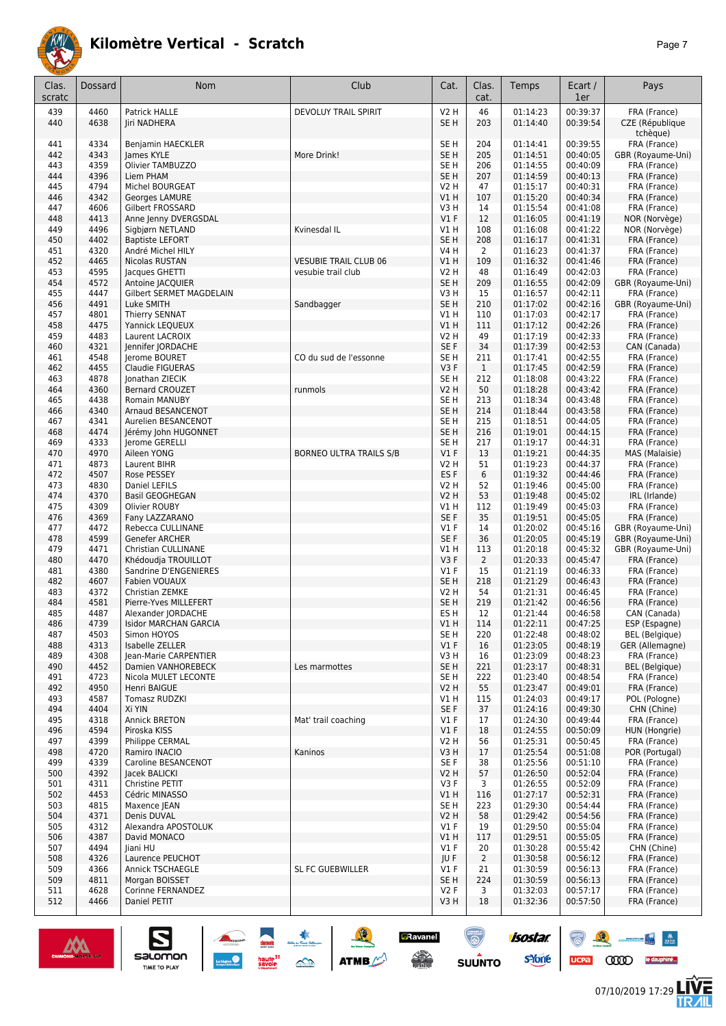

| Clas.<br>scratc | Dossard | Nom                          | Club                           | Cat.             | Clas.<br>cat.  | Temps    | Ecart /<br>1er | Pays                        |
|-----------------|---------|------------------------------|--------------------------------|------------------|----------------|----------|----------------|-----------------------------|
| 439             | 4460    | Patrick HALLE                | DEVOLUY TRAIL SPIRIT           | <b>V2 H</b>      | 46             | 01:14:23 | 00:39:37       | FRA (France)                |
| 440             | 4638    | Jiri NADHERA                 |                                | SE <sub>H</sub>  | 203            | 01:14:40 | 00:39:54       | CZE (République<br>tchèque) |
| 441             | 4334    | Benjamin HAECKLER            |                                | SE <sub>H</sub>  | 204            | 01:14:41 | 00:39:55       | FRA (France)                |
| 442             | 4343    | James KYLE                   | More Drink!                    | SE <sub>H</sub>  | 205            | 01:14:51 | 00:40:05       | GBR (Royaume-Uni)           |
| 443             | 4359    | Olivier TAMBUZZO             |                                | SE H             | 206            | 01:14:55 | 00:40:09       | FRA (France)                |
| 444             | 4396    | Liem PHAM                    |                                | SE <sub>H</sub>  | 207            | 01:14:59 | 00:40:13       | FRA (France)                |
|                 |         |                              |                                |                  |                |          |                |                             |
| 445             | 4794    | Michel BOURGEAT              |                                | V <sub>2</sub> H | 47             | 01:15:17 | 00:40:31       | FRA (France)                |
| 446             | 4342    | Georges LAMURE               |                                | V1H              | 107            | 01:15:20 | 00:40:34       | FRA (France)                |
| 447             | 4606    | Gilbert FROSSARD             |                                | V3H              | 14             | 01:15:54 | 00:41:08       | FRA (France)                |
| 448             | 4413    | Anne Jenny DVERGSDAL         |                                | V1F              | 12             | 01:16:05 | 00:41:19       | NOR (Norvège)               |
| 449             | 4496    | Sigbjørn NETLAND             | Kvinesdal IL                   | V1 H             | 108            | 01:16:08 | 00:41:22       | NOR (Norvège)               |
| 450             | 4402    | <b>Baptiste LEFORT</b>       |                                | SE H             | 208            | 01:16:17 | 00:41:31       | FRA (France)                |
| 451             | 4320    | André Michel HILY            |                                | <b>V4 H</b>      | $\overline{2}$ | 01:16:23 | 00:41:37       | FRA (France)                |
| 452             | 4465    | Nicolas RUSTAN               | <b>VESUBIE TRAIL CLUB 06</b>   | V1H              | 109            | 01:16:32 | 00:41:46       | FRA (France)                |
| 453             | 4595    | Jacques GHETTI               | vesubie trail club             | V <sub>2</sub> H | 48             | 01:16:49 | 00:42:03       | FRA (France)                |
| 454             | 4572    | Antoine JACQUIER             |                                | SE <sub>H</sub>  | 209            | 01:16:55 | 00:42:09       | GBR (Royaume-Uni)           |
| 455             | 4447    | Gilbert SERMET MAGDELAIN     |                                | V3H              | 15             | 01:16:57 | 00:42:11       | FRA (France)                |
| 456             | 4491    | Luke SMITH                   | Sandbagger                     | SE <sub>H</sub>  | 210            | 01:17:02 | 00:42:16       | GBR (Royaume-Uni)           |
| 457             | 4801    | Thierry SENNAT               |                                | V1H              | 110            | 01:17:03 | 00:42:17       | FRA (France)                |
| 458             | 4475    | Yannick LEQUEUX              |                                | V1H              | 111            | 01:17:12 | 00:42:26       | FRA (France)                |
| 459             | 4483    | Laurent LACROIX              |                                | <b>V2 H</b>      | 49             | 01:17:19 | 00:42:33       | FRA (France)                |
| 460             | 4321    | Jennifer JORDACHE            |                                | SE F             | 34             | 01:17:39 | 00:42:53       | CAN (Canada)                |
| 461             | 4548    | Jerome BOURET                | CO du sud de l'essonne         | SE H             | 211            | 01:17:41 | 00:42:55       | FRA (France)                |
|                 | 4455    | <b>Claudie FIGUERAS</b>      |                                | V3F              |                |          | 00:42:59       |                             |
| 462             |         |                              |                                |                  | $\mathbf{1}$   | 01:17:45 |                | FRA (France)                |
| 463             | 4878    | Ionathan ZIECIK              |                                | SE <sub>H</sub>  | 212            | 01:18:08 | 00:43:22       | FRA (France)                |
| 464             | 4360    | <b>Bernard CROUZET</b>       | runmols                        | V <sub>2</sub> H | 50             | 01:18:28 | 00:43:42       | FRA (France)                |
| 465             | 4438    | Romain MANUBY                |                                | SE <sub>H</sub>  | 213            | 01:18:34 | 00:43:48       | FRA (France)                |
| 466             | 4340    | Arnaud BESANCENOT            |                                | SE <sub>H</sub>  | 214            | 01:18:44 | 00:43:58       | FRA (France)                |
| 467             | 4341    | Aurelien BESANCENOT          |                                | SE <sub>H</sub>  | 215            | 01:18:51 | 00:44:05       | FRA (France)                |
| 468             | 4474    | Jérémy John HUGONNET         |                                | SE <sub>H</sub>  | 216            | 01:19:01 | 00:44:15       | FRA (France)                |
| 469             | 4333    | Jerome GERELLI               |                                | SE <sub>H</sub>  | 217            | 01:19:17 | 00:44:31       | FRA (France)                |
| 470             | 4970    | Aileen YONG                  | <b>BORNEO ULTRA TRAILS S/B</b> | V1F              | 13             | 01:19:21 | 00:44:35       | MAS (Malaisie)              |
| 471             | 4873    | Laurent BIHR                 |                                | <b>V2 H</b>      | 51             | 01:19:23 | 00:44:37       | FRA (France)                |
| 472             | 4507    | Rose PESSEY                  |                                | ES <sub>F</sub>  | 6              | 01:19:32 | 00:44:46       | FRA (France)                |
| 473             | 4830    | Daniel LEFILS                |                                | V2 H             | 52             | 01:19:46 | 00:45:00       | FRA (France)                |
| 474             | 4370    | <b>Basil GEOGHEGAN</b>       |                                | V2 H             | 53             | 01:19:48 | 00:45:02       | IRL (Irlande)               |
| 475             | 4309    | Olivier ROUBY                |                                | V1 H             | 112            | 01:19:49 | 00:45:03       | FRA (France)                |
| 476             | 4369    | Fany LAZZARANO               |                                | SE F             | 35             | 01:19:51 | 00:45:05       | FRA (France)                |
|                 | 4472    |                              |                                | $VI$ F           | 14             |          |                |                             |
| 477             |         | Rebecca CULLINANE            |                                |                  |                | 01:20:02 | 00:45:16       | GBR (Royaume-Uni)           |
| 478             | 4599    | Genefer ARCHER               |                                | SE <sub>F</sub>  | 36             | 01:20:05 | 00:45:19       | GBR (Royaume-Uni)           |
| 479             | 4471    | <b>Christian CULLINANE</b>   |                                | V1H              | 113            | 01:20:18 | 00:45:32       | GBR (Royaume-Uni)           |
| 480             | 4470    | Khédoudja TROUILLOT          |                                | V3F              | $\overline{2}$ | 01:20:33 | 00:45:47       | FRA (France)                |
| 481             | 4380    | Sandrine D'ENGENIERES        |                                | $VI$ F           | 15             | 01:21:19 | 00:46:33       | FRA (France)                |
| 482             | 4607    | Fabien VOUAUX                |                                | SE <sub>H</sub>  | 218            | 01:21:29 | 00:46:43       | FRA (France)                |
| 483             | 4372    | Christian ZEMKE              |                                | <b>V2 H</b>      | 54             | 01:21:31 | 00:46:45       | FRA (France)                |
| 484             | 4581    | Pierre-Yves MILLEFERT        |                                | SE <sub>H</sub>  | 219            | 01:21:42 | 00:46:56       | FRA (France)                |
| 485             | 4487    | Alexander JORDACHE           |                                | ES H             | 12             | 01:21:44 | 00:46:58       | CAN (Canada)                |
| 486             | 4739    | <b>Isidor MARCHAN GARCIA</b> |                                | V1 H             | 114            | 01:22:11 | 00:47:25       | ESP (Espagne)               |
| 487             | 4503    | Simon HOYOS                  |                                | SE <sub>H</sub>  | 220            | 01:22:48 | 00:48:02       | <b>BEL</b> (Belgique)       |
| 488             | 4313    | Isabelle ZELLER              |                                | V1F              | 16             | 01:23:05 | 00:48:19       | GER (Allemagne)             |
| 489             | 4308    | Jean-Marie CARPENTIER        |                                | V3 H             | 16             | 01:23:09 | 00:48:23       | FRA (France)                |
| 490             | 4452    | Damien VANHOREBECK           | Les marmottes                  | SE <sub>H</sub>  | 221            | 01:23:17 | 00:48:31       | <b>BEL</b> (Belgique)       |
| 491             | 4723    | Nicola MULET LECONTE         |                                | SE <sub>H</sub>  | 222            | 01:23:40 | 00:48:54       | FRA (France)                |
| 492             | 4950    | Henri BAIGUE                 |                                | V2 H             | 55             | 01:23:47 | 00:49:01       | FRA (France)                |
| 493             | 4587    | Tomasz RUDZKI                |                                | V1 H             | 115            | 01:24:03 | 00:49:17       | POL (Pologne)               |
| 494             | 4404    | Xi YIN                       |                                | SE F             | 37             | 01:24:16 | 00:49:30       | CHN (Chine)                 |
|                 |         |                              |                                |                  |                |          |                |                             |
| 495             | 4318    | <b>Annick BRETON</b>         | Mat' trail coaching            | $VI$ F           | 17             | 01:24:30 | 00:49:44       | FRA (France)                |
| 496             | 4594    | Piroska KISS                 |                                | $VI$ F           | 18             | 01:24:55 | 00:50:09       | HUN (Hongrie)               |
| 497             | 4399    | Philippe CERMAL              |                                | V2 H             | 56             | 01:25:31 | 00:50:45       | FRA (France)                |
| 498             | 4720    | Ramiro INACIO                | Kaninos                        | V3 H             | 17             | 01:25:54 | 00:51:08       | POR (Portugal)              |
| 499             | 4339    | Caroline BESANCENOT          |                                | SE F             | 38             | 01:25:56 | 00:51:10       | FRA (France)                |
| 500             | 4392    | Jacek BALICKI                |                                | V2 H             | 57             | 01:26:50 | 00:52:04       | FRA (France)                |
| 501             | 4311    | Christine PETIT              |                                | V3F              | 3              | 01:26:55 | 00:52:09       | FRA (France)                |
| 502             | 4453    | Cédric MINASSO               |                                | V1H              | 116            | 01:27:17 | 00:52:31       | FRA (France)                |
| 503             | 4815    | Maxence JEAN                 |                                | SE H             | 223            | 01:29:30 | 00:54:44       | FRA (France)                |
| 504             | 4371    | Denis DUVAL                  |                                | V2 H             | 58             | 01:29:42 | 00:54:56       | FRA (France)                |
| 505             | 4312    | Alexandra APOSTOLUK          |                                | $VI$ F           | 19             | 01:29:50 | 00:55:04       | FRA (France)                |
| 506             | 4387    | David MONACO                 |                                | V1H              | 117            | 01:29:51 | 00:55:05       | FRA (France)                |
| 507             | 4494    | Jiani HU                     |                                | V1F              | 20             | 01:30:28 | 00:55:42       | CHN (Chine)                 |
|                 | 4326    |                              |                                |                  |                | 01:30:58 | 00:56:12       |                             |
| 508             |         | Laurence PEUCHOT             |                                | JU F             | $\overline{2}$ |          |                | FRA (France)                |
| 509             | 4366    | <b>Annick TSCHAEGLE</b>      | SL FC GUEBWILLER               | $VI$ F           | 21             | 01:30:59 | 00:56:13       | FRA (France)                |
| 509             | 4811    | Morgan BOISSET               |                                | SE H             | 224            | 01:30:59 | 00:56:13       | FRA (France)                |
| 511             | 4628    | Corinne FERNANDEZ            |                                | V2F              | 3              | 01:32:03 | 00:57:17       | FRA (France)                |
| 512             | 4466    | Daniel PETIT                 |                                | V3 H             | 18             | 01:32:36 | 00:57:50       | FRA (France)                |
|                 |         |                              |                                |                  |                |          |                |                             |



UCPa (ODD) le dauphiné...

and **the second**